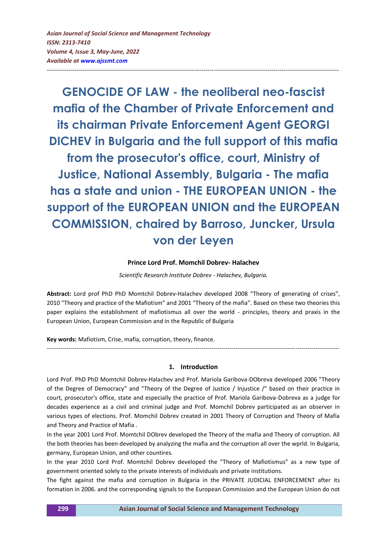**GENOCIDE OF LAW - the neoliberal neo-fascist mafia of the Chamber of Private Enforcement and its chairman Private Enforcement Agent GEORGI DICHEV in Bulgaria and the full support of this mafia from the prosecutor's office, court, Ministry of Justice, National Assembly, Bulgaria - The mafia has a state and union - THE EUROPEAN UNION - the support of the EUROPEAN UNION and the EUROPEAN COMMISSION, chaired by Barroso, Juncker, Ursula von der Leyen**

---------------------------------------------------------------------------------------------------------------------------------------------------

### **Prince Lord Prof. Momchil Dobrev- Halachev**

*Scientific Research Institute Dobrev - Halachev, Bulgaria.*

**Abstract:** Lord prof PhD PhD Momtchil Dobrev-Halachev developed 2008 "Theory of generating of crises", 2010 "Theory and practice of the Mafiotism" and 2001 "Theory of the mafia". Based on these two theories this paper explains the establishment of mafiotismus all over the world - principles, theory and praxis in the European Union, European Commission and in the Republic of Bulgaria

**Key words:** Mafiotism, Crise, mafia, corruption, theory, finance.

#### **1. Introduction**

---------------------------------------------------------------------------------------------------------------------------------------------------

Lord Prof. PhD PhD Momtchil Dobrev-Halachev and Prof. Mariola Garibova-DObreva developed 2006 "Theory of the Degree of Democracy" and "Theory of the Degree of Justice / Injustice /" based on their practice in court, prosecutor's office, state and especially the practice of Prof. Mariola Garibova-Dobreva as a judge for decades experience as a civil and criminal judge and Prof. Momchil Dobrev participated as an observer in various types of elections. Prof. Momchil Dobrev created in 2001 Theory of Corruption and Theory of Mafia and Theory and Practice of Mafia .

In the year 2001 Lord Prof. Momtchil DObrev developed the Theory of the mafia and Theory of corruption. All the both theories has been developed by analyzing the mafia and the corruption all over the wprld. In Bulgaria, germany, European Union, and other countires.

In the year 2010 Lord Prof. Momtchil Dobrev developed the "Theory of Mafiotismus" as a new type of government oriented solely to the private interests of individuals and private institutions.

The fight against the mafia and corruption in Bulgaria in the PRIVATE JUDICIAL ENFORCEMENT after its formation in 2006. and the corresponding signals to the European Commission and the European Union do not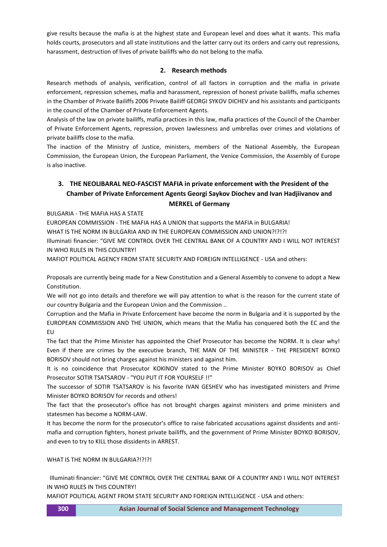give results because the mafia is at the highest state and European level and does what it wants. This mafia holds courts, prosecutors and all state institutions and the latter carry out its orders and carry out repressions, harassment, destruction of lives of private bailiffs who do not belong to the mafia.

## **2. Research methods**

Research methods of analysis, verification, control of all factors in corruption and the mafia in private enforcement, repression schemes, mafia and harassment, repression of honest private bailiffs, mafia schemes in the Chamber of Private Bailiffs 2006 Private Bailiff GEORGI SYKOV DICHEV and his assistants and participants in the council of the Chamber of Private Enforcement Agents.

Analysis of the law on private bailiffs, mafia practices in this law, mafia practices of the Council of the Chamber of Private Enforcement Agents, repression, proven lawlessness and umbrellas over crimes and violations of private bailiffs close to the mafia.

The inaction of the Ministry of Justice, ministers, members of the National Assembly, the European Commission, the European Union, the European Parliament, the Venice Commission, the Assembly of Europe is also inactive.

## **3. THE NEOLIBARAL NEO-FASCIST MAFIA in private enforcement with the President of the Chamber of Private Enforcement Agents Georgi Saykov Diochev and Ivan Hadjiivanov and MERKEL of Germany**

BULGARIA - THE MAFIA HAS A STATE

EUROPEAN COMMISSION - THE MAFIA HAS A UNION that supports the MAFIA in BULGARIA!

WHAT IS THE NORM IN BULGARIA AND IN THE EUROPEAN COMMISSION AND UNION?!?!?!

Illuminati financier: "GIVE ME CONTROL OVER THE CENTRAL BANK OF A COUNTRY AND I WILL NOT INTEREST IN WHO RULES IN THIS COUNTRY!

MAFIOT POLITICAL AGENCY FROM STATE SECURITY AND FOREIGN INTELLIGENCE - USA and others:

Proposals are currently being made for a New Constitution and a General Assembly to convene to adopt a New Constitution.

We will not go into details and therefore we will pay attention to what is the reason for the current state of our country Bulgaria and the European Union and the Commission ..

Corruption and the Mafia in Private Enforcement have become the norm in Bulgaria and it is supported by the EUROPEAN COMMISSION AND THE UNION, which means that the Mafia has conquered both the EC and the EU

The fact that the Prime Minister has appointed the Chief Prosecutor has become the NORM. It is clear why! Even if there are crimes by the executive branch, THE MAN OF THE MINISTER - THE PRESIDENT BOYKO BORISOV should not bring charges against his ministers and against him.

It is no coincidence that Prosecutor KOKINOV stated to the Prime Minister BOYKO BORISOV as Chief Prosecutor SOTIR TSATSAROV - "YOU PUT IT FOR YOURSELF !!"

The successor of SOTIR TSATSAROV is his favorite IVAN GESHEV who has investigated ministers and Prime Minister BOYKO BORISOV for records and others!

The fact that the prosecutor's office has not brought charges against ministers and prime ministers and statesmen has become a NORM-LAW.

It has become the norm for the prosecutor's office to raise fabricated accusations against dissidents and antimafia and corruption fighters, honest private bailiffs, and the government of Prime Minister BOYKO BORISOV, and even to try to KILL those dissidents in ARREST.

### WHAT IS THE NORM IN BUI GARIA?!?!?!

 Illuminati financier: "GIVE ME CONTROL OVER THE CENTRAL BANK OF A COUNTRY AND I WILL NOT INTEREST IN WHO RULES IN THIS COUNTRY!

MAFIOT POLITICAL AGENT FROM STATE SECURITY AND FOREIGN INTELLIGENCE - USA and others: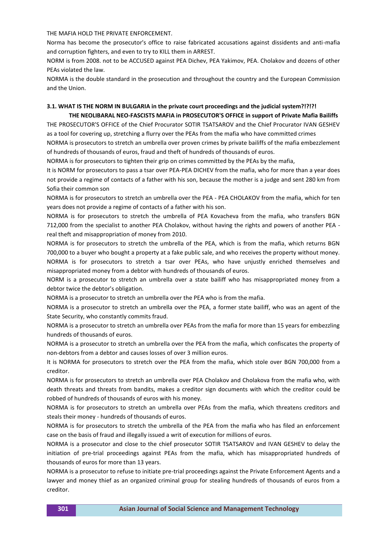THE MAFIA HOLD THE PRIVATE ENFORCEMENT.

Norma has become the prosecutor's office to raise fabricated accusations against dissidents and anti-mafia and corruption fighters, and even to try to KILL them in ARREST.

NORM is from 2008. not to be ACCUSED against PEA Dichev, PEA Yakimov, PEA. Cholakov and dozens of other PEAs violated the law.

NORMA is the double standard in the prosecution and throughout the country and the European Commission and the Union.

### **3.1. WHAT IS THE NORM IN BULGARIA in the private court proceedings and the judicial system?!?!?! THE NEOLIBARAL NEO-FASCISTS MAFIA in PROSECUTOR'S OFFICE in support of Private Mafia Bailiffs**

THE PROSECUTOR'S OFFICE of the Chief Procurator SOTIR TSATSAROV and the Chief Procurator IVAN GESHEV as a tool for covering up, stretching a flurry over the PEAs from the mafia who have committed crimes NORMA is prosecutors to stretch an umbrella over proven crimes by private bailiffs of the mafia embezzlement

of hundreds of thousands of euros, fraud and theft of hundreds of thousands of euros.

NORMA is for prosecutors to tighten their grip on crimes committed by the PEAs by the mafia,

It is NORM for prosecutors to pass a tsar over PEA-PEA DICHEV from the mafia, who for more than a year does not provide a regime of contacts of a father with his son, because the mother is a judge and sent 280 km from Sofia their common son

NORMA is for prosecutors to stretch an umbrella over the PEA - PEA CHOLAKOV from the mafia, which for ten years does not provide a regime of contacts of a father with his son.

NORMA is for prosecutors to stretch the umbrella of PEA Kovacheva from the mafia, who transfers BGN 712,000 from the specialist to another PEA Cholakov, without having the rights and powers of another PEA real theft and misappropriation of money from 2010.

NORMA is for prosecutors to stretch the umbrella of the PEA, which is from the mafia, which returns BGN 700,000 to a buyer who bought a property at a fake public sale, and who receives the property without money. NORMA is for prosecutors to stretch a tsar over PEAs, who have unjustly enriched themselves and misappropriated money from a debtor with hundreds of thousands of euros.

NORM is a prosecutor to stretch an umbrella over a state bailiff who has misappropriated money from a debtor twice the debtor's obligation.

NORMA is a prosecutor to stretch an umbrella over the PEA who is from the mafia.

NORMA is a prosecutor to stretch an umbrella over the PEA, a former state bailiff, who was an agent of the State Security, who constantly commits fraud.

NORMA is a prosecutor to stretch an umbrella over PEAs from the mafia for more than 15 years for embezzling hundreds of thousands of euros.

NORMA is a prosecutor to stretch an umbrella over the PEA from the mafia, which confiscates the property of non-debtors from a debtor and causes losses of over 3 million euros.

It is NORMA for prosecutors to stretch over the PEA from the mafia, which stole over BGN 700,000 from a creditor.

NORMA is for prosecutors to stretch an umbrella over PEA Cholakov and Cholakova from the mafia who, with death threats and threats from bandits, makes a creditor sign documents with which the creditor could be robbed of hundreds of thousands of euros with his money.

NORMA is for prosecutors to stretch an umbrella over PEAs from the mafia, which threatens creditors and steals their money - hundreds of thousands of euros.

NORMA is for prosecutors to stretch the umbrella of the PEA from the mafia who has filed an enforcement case on the basis of fraud and illegally issued a writ of execution for millions of euros.

NORMA is a prosecutor and close to the chief prosecutor SOTIR TSATSAROV and IVAN GESHEV to delay the initiation of pre-trial proceedings against PEAs from the mafia, which has misappropriated hundreds of thousands of euros for more than 13 years.

NORMA is a prosecutor to refuse to initiate pre-trial proceedings against the Private Enforcement Agents and a lawyer and money thief as an organized criminal group for stealing hundreds of thousands of euros from a creditor.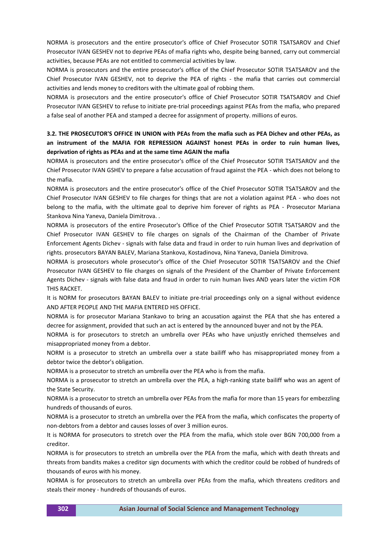NORMA is prosecutors and the entire prosecutor's office of Chief Prosecutor SOTIR TSATSAROV and Chief Prosecutor IVAN GESHEV not to deprive PEAs of mafia rights who, despite being banned, carry out commercial activities, because PEAs are not entitled to commercial activities by law.

NORMA is prosecutors and the entire prosecutor's office of the Chief Prosecutor SOTIR TSATSAROV and the Chief Prosecutor IVAN GESHEV, not to deprive the PEA of rights - the mafia that carries out commercial activities and lends money to creditors with the ultimate goal of robbing them.

NORMA is prosecutors and the entire prosecutor's office of Chief Prosecutor SOTIR TSATSAROV and Chief Prosecutor IVAN GESHEV to refuse to initiate pre-trial proceedings against PEAs from the mafia, who prepared a false seal of another PEA and stamped a decree for assignment of property. millions of euros.

## **3.2. THE PROSECUTOR'S OFFICE IN UNION with PEAs from the mafia such as PEA Dichev and other PEAs, as an instrument of the MAFIA FOR REPRESSION AGAINST honest PEAs in order to ruin human lives, deprivation of rights as PEAs and at the same time AGAIN the mafia**

NORMA is prosecutors and the entire prosecutor's office of the Chief Prosecutor SOTIR TSATSAROV and the Chief Prosecutor IVAN GSHEV to prepare a false accusation of fraud against the PEA - which does not belong to the mafia.

NORMA is prosecutors and the entire prosecutor's office of the Chief Prosecutor SOTIR TSATSAROV and the Chief Prosecutor IVAN GESHEV to file charges for things that are not a violation against PEA - who does not belong to the mafia, with the ultimate goal to deprive him forever of rights as PEA - Prosecutor Mariana Stankova Nina Yaneva, Daniela Dimitrova. .

NORMA is prosecutors of the entire Prosecutor's Office of the Chief Prosecutor SOTIR TSATSAROV and the Chief Prosecutor IVAN GESHEV to file charges on signals of the Chairman of the Chamber of Private Enforcement Agents Dichev - signals with false data and fraud in order to ruin human lives and deprivation of rights. prosecutors BAYAN BALEV, Mariana Stankova, Kostadinova, Nina Yaneva, Daniela Dimitrova.

NORMA is prosecutors whole prosecutor's office of the Chief Prosecutor SOTIR TSATSAROV and the Chief Prosecutor IVAN GESHEV to file charges on signals of the President of the Chamber of Private Enforcement Agents Dichev - signals with false data and fraud in order to ruin human lives AND years later the victim FOR THIS RACKET.

It is NORM for prosecutors BAYAN BALEV to initiate pre-trial proceedings only on a signal without evidence AND AFTER PEOPLE AND THE MAFIA ENTERED HIS OFFICE.

NORMA is for prosecutor Mariana Stankavo to bring an accusation against the PEA that she has entered a decree for assignment, provided that such an act is entered by the announced buyer and not by the PEA.

NORMA is for prosecutors to stretch an umbrella over PEAs who have unjustly enriched themselves and misappropriated money from a debtor.

NORM is a prosecutor to stretch an umbrella over a state bailiff who has misappropriated money from a debtor twice the debtor's obligation.

NORMA is a prosecutor to stretch an umbrella over the PEA who is from the mafia.

NORMA is a prosecutor to stretch an umbrella over the PEA, a high-ranking state bailiff who was an agent of the State Security.

NORMA is a prosecutor to stretch an umbrella over PEAs from the mafia for more than 15 years for embezzling hundreds of thousands of euros.

NORMA is a prosecutor to stretch an umbrella over the PEA from the mafia, which confiscates the property of non-debtors from a debtor and causes losses of over 3 million euros.

It is NORMA for prosecutors to stretch over the PEA from the mafia, which stole over BGN 700,000 from a creditor.

NORMA is for prosecutors to stretch an umbrella over the PEA from the mafia, which with death threats and threats from bandits makes a creditor sign documents with which the creditor could be robbed of hundreds of thousands of euros with his money.

NORMA is for prosecutors to stretch an umbrella over PEAs from the mafia, which threatens creditors and steals their money - hundreds of thousands of euros.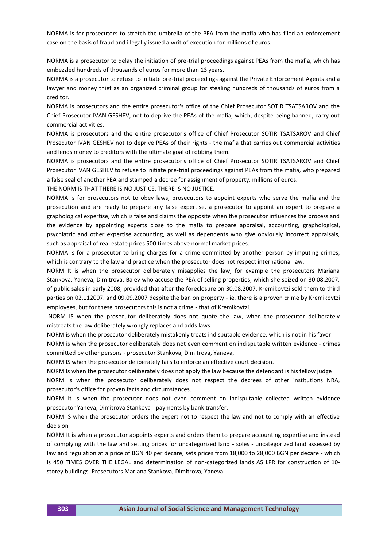NORMA is for prosecutors to stretch the umbrella of the PEA from the mafia who has filed an enforcement case on the basis of fraud and illegally issued a writ of execution for millions of euros.

NORMA is a prosecutor to delay the initiation of pre-trial proceedings against PEAs from the mafia, which has embezzled hundreds of thousands of euros for more than 13 years.

NORMA is a prosecutor to refuse to initiate pre-trial proceedings against the Private Enforcement Agents and a lawyer and money thief as an organized criminal group for stealing hundreds of thousands of euros from a creditor.

NORMA is prosecutors and the entire prosecutor's office of the Chief Prosecutor SOTIR TSATSAROV and the Chief Prosecutor IVAN GESHEV, not to deprive the PEAs of the mafia, which, despite being banned, carry out commercial activities.

NORMA is prosecutors and the entire prosecutor's office of Chief Prosecutor SOTIR TSATSAROV and Chief Prosecutor IVAN GESHEV not to deprive PEAs of their rights - the mafia that carries out commercial activities and lends money to creditors with the ultimate goal of robbing them.

NORMA is prosecutors and the entire prosecutor's office of Chief Prosecutor SOTIR TSATSAROV and Chief Prosecutor IVAN GESHEV to refuse to initiate pre-trial proceedings against PEAs from the mafia, who prepared a false seal of another PEA and stamped a decree for assignment of property. millions of euros.

THE NORM IS THAT THERE IS NO JUSTICE, THERE IS NO JUSTICE.

NORMA is for prosecutors not to obey laws, prosecutors to appoint experts who serve the mafia and the prosecution and are ready to prepare any false expertise, a prosecutor to appoint an expert to prepare a graphological expertise, which is false and claims the opposite when the prosecutor influences the process and the evidence by appointing experts close to the mafia to prepare appraisal, accounting, graphological, psychiatric and other expertise accounting, as well as dependents who give obviously incorrect appraisals, such as appraisal of real estate prices 500 times above normal market prices.

NORMA is for a prosecutor to bring charges for a crime committed by another person by imputing crimes, which is contrary to the law and practice when the prosecutor does not respect international law.

NORM It is when the prosecutor deliberately misapplies the law, for example the prosecutors Mariana Stankova, Yaneva, Dimitrova, Balev who accuse the PEA of selling properties, which she seized on 30.08.2007. of public sales in early 2008, provided that after the foreclosure on 30.08.2007. Kremikovtzi sold them to third parties on 02.112007. and 09.09.2007 despite the ban on property - ie. there is a proven crime by Kremikovtzi employees, but for these prosecutors this is not a crime - that of Kremikovtzi.

NORM IS when the prosecutor deliberately does not quote the law, when the prosecutor deliberately mistreats the law deliberately wrongly replaces and adds laws.

NORM is when the prosecutor deliberately mistakenly treats indisputable evidence, which is not in his favor

NORM is when the prosecutor deliberately does not even comment on indisputable written evidence - crimes committed by other persons - prosecutor Stankova, Dimitrova, Yaneva,

NORM IS when the prosecutor deliberately fails to enforce an effective court decision.

NORM Is when the prosecutor deliberately does not apply the law because the defendant is his fellow judge

NORM Is when the prosecutor deliberately does not respect the decrees of other institutions NRA, prosecutor's office for proven facts and circumstances.

NORM It is when the prosecutor does not even comment on indisputable collected written evidence prosecutor Yaneva, Dimitrova Stankova - payments by bank transfer.

NORM IS when the prosecutor orders the expert not to respect the law and not to comply with an effective decision

NORM It is when a prosecutor appoints experts and orders them to prepare accounting expertise and instead of complying with the law and setting prices for uncategorized land - soles - uncategorized land assessed by law and regulation at a price of BGN 40 per decare, sets prices from 18,000 to 28,000 BGN per decare - which is 450 TIMES OVER THE LEGAL and determination of non-categorized lands AS LPR for construction of 10 storey buildings. Prosecutors Mariana Stankova, Dimitrova, Yaneva.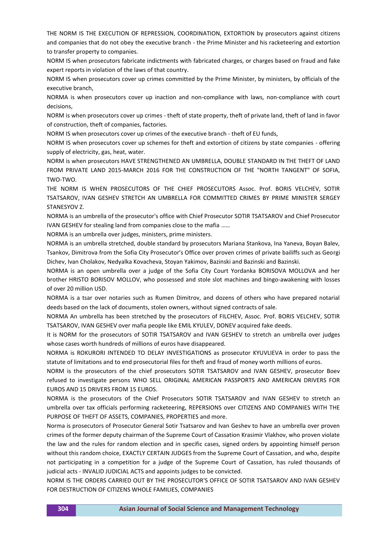THE NORM IS THE EXECUTION OF REPRESSION, COORDINATION, EXTORTION by prosecutors against citizens and companies that do not obey the executive branch - the Prime Minister and his racketeering and extortion to transfer property to companies.

NORM IS when prosecutors fabricate indictments with fabricated charges, or charges based on fraud and fake expert reports in violation of the laws of that country.

NORM IS when prosecutors cover up crimes committed by the Prime Minister, by ministers, by officials of the executive branch,

NORMA is when prosecutors cover up inaction and non-compliance with laws, non-compliance with court decisions,

NORM is when prosecutors cover up crimes - theft of state property, theft of private land, theft of land in favor of construction, theft of companies, factories.

NORM IS when prosecutors cover up crimes of the executive branch - theft of EU funds,

NORM IS when prosecutors cover up schemes for theft and extortion of citizens by state companies - offering supply of electricity, gas, heat, water.

NORM is when prosecutors HAVE STRENGTHENED AN UMBRELLA, DOUBLE STANDARD IN THE THEFT OF LAND FROM PRIVATE LAND 2015-MARCH 2016 FOR THE CONSTRUCTION OF THE "NORTH TANGENT" OF SOFIA, TWO-TWO.

THE NORM IS WHEN PROSECUTORS OF THE CHIEF PROSECUTORS Assoc. Prof. BORIS VELCHEV, SOTIR TSATSAROV, IVAN GESHEV STRETCH AN UMBRELLA FOR COMMITTED CRIMES BY PRIME MINISTER SERGEY STANESYOV Z.

NORMA is an umbrella of the prosecutor's office with Chief Prosecutor SOTIR TSATSAROV and Chief Prosecutor IVAN GESHEV for stealing land from companies close to the mafia ……

NORMA is an umbrella over judges, ministers, prime ministers.

NORMA is an umbrella stretched, double standard by prosecutors Mariana Stankova, Ina Yaneva, Boyan Balev, Tsankov, Dimitrova from the Sofia City Prosecutor's Office over proven crimes of private bailiffs such as Georgi Dichev, Ivan Cholakov, Nedyalka Kovacheva, Stoyan Yakimov, Bazinski and Bazinski and Bazinski.

NORMA is an open umbrella over a judge of the Sofia City Court Yordanka BORISOVA MOLLOVA and her brother HRISTO BORISOV MOLLOV, who possessed and stole slot machines and bingo-awakening with losses of over 20 million USD.

NORMA is a tsar over notaries such as Rumen Dimitrov, and dozens of others who have prepared notarial deeds based on the lack of documents, stolen owners, without signed contracts of sale.

NORMA An umbrella has been stretched by the prosecutors of FILCHEV, Assoc. Prof. BORIS VELCHEV, SOTIR TSATSAROV, IVAN GESHEV over mafia people like EMIL KYULEV, DONEV acquired fake deeds.

It is NORM for the prosecutors of SOTIR TSATSAROV and IVAN GESHEV to stretch an umbrella over judges whose cases worth hundreds of millions of euros have disappeared.

NORMA is ROKURORI INTENDED TO DELAY INVESTIGATIONS as prosecutor KYUVLIEVA in order to pass the statute of limitations and to end prosecutorial files for theft and fraud of money worth millions of euros.

NORM is the prosecutors of the chief prosecutors SOTIR TSATSAROV and IVAN GESHEV, prosecutor Boev refused to investigate persons WHO SELL ORIGINAL AMERICAN PASSPORTS AND AMERICAN DRIVERS FOR EUROS AND 15 DRIVERS FROM 15 EUROS.

NORMA is the prosecutors of the Chief Prosecutors SOTIR TSATSAROV and IVAN GESHEV to stretch an umbrella over tax officials performing racketeering, REPERSIONS over CITIZENS AND COMPANIES WITH THE PURPOSE OF THEFT OF ASSETS, COMPANIES, PROPERTIES and more.

Norma is prosecutors of Prosecutor General Sotir Tsatsarov and Ivan Geshev to have an umbrella over proven crimes of the former deputy chairman of the Supreme Court of Cassation Krasimir Vlakhov, who proven violate the law and the rules for random election and in specific cases, signed orders by appointing himself person without this random choice, EXACTLY CERTAIN JUDGES from the Supreme Court of Cassation, and who, despite not participating in a competition for a judge of the Supreme Court of Cassation, has ruled thousands of judicial acts - INVALID JUDICIAL ACTS and appoints judges to be convicted.

NORM IS THE ORDERS CARRIED OUT BY THE PROSECUTOR'S OFFICE OF SOTIR TSATSAROV AND IVAN GESHEV FOR DESTRUCTION OF CITIZENS WHOLE FAMILIES, COMPANIES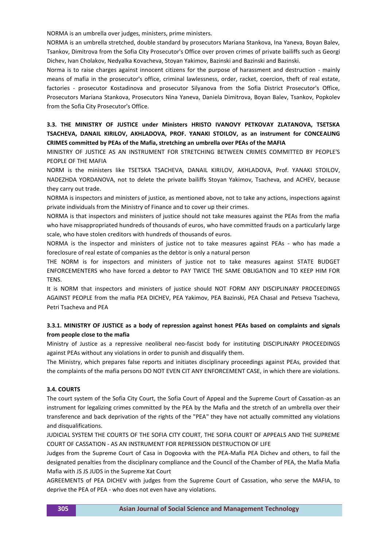NORMA is an umbrella over judges, ministers, prime ministers.

NORMA is an umbrella stretched, double standard by prosecutors Mariana Stankova, Ina Yaneva, Boyan Balev, Tsankov, Dimitrova from the Sofia City Prosecutor's Office over proven crimes of private bailiffs such as Georgi Dichev, Ivan Cholakov, Nedyalka Kovacheva, Stoyan Yakimov, Bazinski and Bazinski and Bazinski.

Norma is to raise charges against innocent citizens for the purpose of harassment and destruction - mainly means of mafia in the prosecutor's office, criminal lawlessness, order, racket, coercion, theft of real estate, factories - prosecutor Kostadinova and prosecutor Silyanova from the Sofia District Prosecutor's Office, Prosecutors Mariana Stankova, Prosecutors Nina Yaneva, Daniela Dimitrova, Boyan Balev, Tsankov, Popkolev from the Sofia City Prosecutor's Office.

## **3.3. THE MINISTRY OF JUSTICE under Ministers HRISTO IVANOVY PETKOVAY ZLATANOVA, TSETSKA TSACHEVA, DANAIL KIRILOV, AKHLADOVA, PROF. YANAKI STOILOV, as an instrument for CONCEALING CRIMES committed by PEAs of the Mafia, stretching an umbrella over PEAs of the MAFIA**

MINISTRY OF JUSTICE AS AN INSTRUMENT FOR STRETCHING BETWEEN CRIMES COMMITTED BY PEOPLE'S PEOPLE OF THE MAFIA

NORM is the ministers like TSETSKA TSACHEVA, DANAIL KIRILOV, AKHLADOVA, Prof. YANAKI STOILOV, NADEZHDA YORDANOVA, not to delete the private bailiffs Stoyan Yakimov, Tsacheva, and ACHEV, because they carry out trade.

NORMA is inspectors and ministers of justice, as mentioned above, not to take any actions, inspections against private individuals from the Ministry of Finance and to cover up their crimes.

NORMA is that inspectors and ministers of justice should not take measures against the PEAs from the mafia who have misappropriated hundreds of thousands of euros, who have committed frauds on a particularly large scale, who have stolen creditors with hundreds of thousands of euros.

NORMA is the inspector and ministers of justice not to take measures against PEAs - who has made a foreclosure of real estate of companies as the debtor is only a natural person

THE NORM is for inspectors and ministers of justice not to take measures against STATE BUDGET ENFORCEMENTERS who have forced a debtor to PAY TWICE THE SAME OBLIGATION and TO KEEP HIM FOR TENS.

It is NORM that inspectors and ministers of justice should NOT FORM ANY DISCIPLINARY PROCEEDINGS AGAINST PEOPLE from the mafia PEA DICHEV, PEA Yakimov, PEA Bazinski, PEA ChasaI and Petseva Tsacheva, Petri Tsacheva and PEA

## **3.3.1. MINISTRY OF JUSTICE as a body of repression against honest PEAs based on complaints and signals from people close to the mafia**

Ministry of Justice as a repressive neoliberal neo-fascist body for instituting DISCIPLINARY PROCEEDINGS against PEAs without any violations in order to punish and disqualify them.

The Ministry, which prepares false reports and initiates disciplinary proceedings against PEAs, provided that the complaints of the mafia persons DO NOT EVEN CIT ANY ENFORCEMENT CASE, in which there are violations.

### **3.4. COURTS**

The court system of the Sofia City Court, the Sofia Court of Appeal and the Supreme Court of Cassation-as an instrument for legalizing crimes committed by the PEA by the Mafia and the stretch of an umbrella over their transference and back deprivation of the rights of the "PEA" they have not actually committed any violations and disqualifications.

JUDICIAL SYSTEM THE COURTS OF THE SOFIA CITY COURT, THE SOFIA COURT OF APPEALS AND THE SUPREME COURT OF CASSATION - AS AN INSTRUMENT FOR REPRESSION DESTRUCTION OF LIFE

Judges from the Supreme Court of Casa in Dogoovka with the PEA-Mafia PEA Dichev and others, to fail the designated penalties from the disciplinary compliance and the Council of the Chamber of PEA, the Mafia Mafia Mafia with JS JS JUDS in the Supreme Xat Court

AGREEMENTS of PEA DICHEV with judges from the Supreme Court of Cassation, who serve the MAFIA, to deprive the PEA of PEA - who does not even have any violations.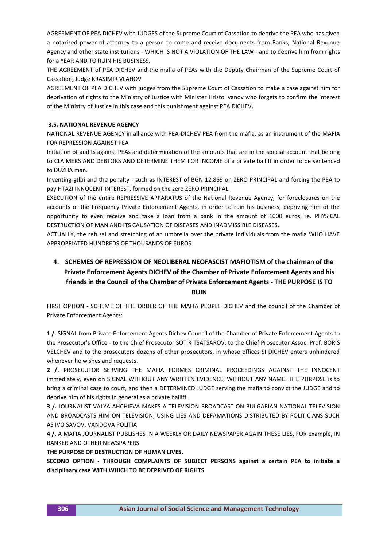AGREEMENT OF PEA DICHEV with JUDGES of the Supreme Court of Cassation to deprive the PEA who has given a notarized power of attorney to a person to come and receive documents from Banks, National Revenue Agency and other state institutions - WHICH IS NOT A VIOLATION OF THE LAW - and to deprive him from rights for a YEAR AND TO RUIN HIS BUSINESS.

THE AGREEMENT of PEA DICHEV and the mafia of PEAs with the Deputy Chairman of the Supreme Court of Cassation, Judge KRASIMIR VLAHOV

AGREEMENT OF PEA DICHEV with judges from the Supreme Court of Cassation to make a case against him for deprivation of rights to the Ministry of Justice with Minister Hristo Ivanov who forgets to confirm the interest of the Ministry of Justice in this case and this punishment against PEA DICHEV**.**

### **3.5. NATIONAL REVENUE AGENCY**

NATIONAL REVENUE AGENCY in alliance with PEA-DICHEV PEA from the mafia, as an instrument of the MAFIA FOR REPRESSION AGAINST PEA

Initiation of audits against PEAs and determination of the amounts that are in the special account that belong to CLAIMERS AND DEBTORS AND DETERMINE THEM FOR INCOME of a private bailiff in order to be sentenced to DUZHA man.

Inventing gtlbi and the penalty - such as INTEREST of BGN 12,869 on ZERO PRINCIPAL and forcing the PEA to pay HTAZI INNOCENT INTEREST, formed on the zero ZERO PRINCIPAL

EXECUTION of the entire REPRESSIVE APPARATUS of the National Revenue Agency, for foreclosures on the accounts of the Frequency Private Enforcement Agents, in order to ruin his business, depriving him of the opportunity to even receive and take a loan from a bank in the amount of 1000 euros, ie. PHYSICAL DESTRUCTION OF MAN AND ITS CAUSATION OF DISEASES AND INADMISSIBLE DISEASES.

ACTUALLY, the refusal and stretching of an umbrella over the private individuals from the mafia WHO HAVE APPROPRIATED HUNDREDS OF THOUSANDS OF EUROS

# **4. SCHEMES OF REPRESSION OF NEOLIBERAL NEOFASCIST MAFIOTISM of the chairman of the Private Enforcement Agents DICHEV of the Chamber of Private Enforcement Agents and his friends in the Council of the Chamber of Private Enforcement Agents - THE PURPOSE IS TO RUIN**

FIRST OPTION - SCHEME OF THE ORDER OF THE MAFIA PEOPLE DICHEV and the council of the Chamber of Private Enforcement Agents:

**1 /.** SIGNAL from Private Enforcement Agents Dichev Council of the Chamber of Private Enforcement Agents to the Prosecutor's Office - to the Chief Prosecutor SOTIR TSATSAROV, to the Chief Prosecutor Assoc. Prof. BORIS VELCHEV and to the prosecutors dozens of other prosecutors, in whose offices SI DICHEV enters unhindered whenever he wishes and requests.

**2 /.** PROSECUTOR SERVING THE MAFIA FORMES CRIMINAL PROCEEDINGS AGAINST THE INNOCENT immediately, even on SIGNAL WITHOUT ANY WRITTEN EVIDENCE, WITHOUT ANY NAME. THE PURPOSE is to bring a criminal case to court, and then a DETERMINED JUDGE serving the mafia to convict the JUDGE and to deprive him of his rights in general as a private bailiff.

**3 /.** JOURNALIST VALYA AHCHIEVA MAKES A TELEVISION BROADCAST ON BULGARIAN NATIONAL TELEVISION AND BROADCASTS HIM ON TELEVISION, USING LIES AND DEFAMATIONS DISTRIBUTED BY POLITICIANS SUCH AS IVO SAVOV, VANDOVA POLITIA

**4 /.** A MAFIA JOURNALIST PUBLISHES IN A WEEKLY OR DAILY NEWSPAPER AGAIN THESE LIES, FOR example, IN BANKER AND OTHER NEWSPAPERS

**THE PURPOSE OF DESTRUCTION OF HUMAN LIVES.**

**SECOND OPTION - THROUGH COMPLAINTS OF SUBJECT PERSONS against a certain PEA to initiate a disciplinary case WITH WHICH TO BE DEPRIVED OF RIGHTS**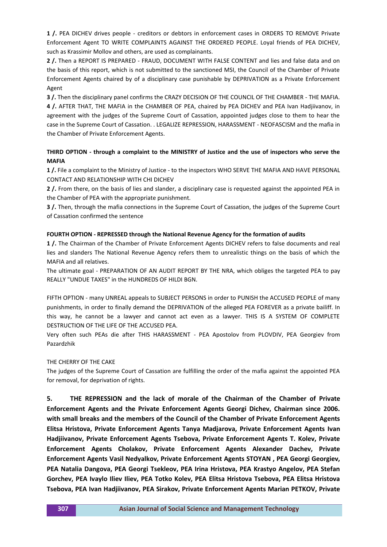**1 /.** PEA DICHEV drives people - creditors or debtors in enforcement cases in ORDERS TO REMOVE Private Enforcement Agent TO WRITE COMPLAINTS AGAINST THE ORDERED PEOPLE. Loyal friends of PEA DICHEV, such as Krassimir Mollov and others, are used as complainants.

**2 /.** Then a REPORT IS PREPARED - FRAUD, DOCUMENT WITH FALSE CONTENT and lies and false data and on the basis of this report, which is not submitted to the sanctioned MSI, the Council of the Chamber of Private Enforcement Agents chaired by of a disciplinary case punishable by DEPRIVATION as a Private Enforcement Agent

**3 /.** Then the disciplinary panel confirms the CRAZY DECISION OF THE COUNCIL OF THE CHAMBER - THE MAFIA. **4 /.** AFTER THAT, THE MAFIA in the CHAMBER OF PEA, chaired by PEA DICHEV and PEA Ivan Hadjiivanov, in agreement with the judges of the Supreme Court of Cassation, appointed judges close to them to hear the case in the Supreme Court of Cassation. . LEGALIZE REPRESSION, HARASSMENT - NEOFASCISM and the mafia in the Chamber of Private Enforcement Agents.

## **THIRD OPTION - through a complaint to the MINISTRY of Justice and the use of inspectors who serve the MAFIA**

**1 /.** File a complaint to the Ministry of Justice - to the inspectors WHO SERVE THE MAFIA AND HAVE PERSONAL CONTACT AND RELATIONSHIP WITH CHI DICHEV

**2 /.** From there, on the basis of lies and slander, a disciplinary case is requested against the appointed PEA in the Chamber of PEA with the appropriate punishment.

**3 /.** Then, through the mafia connections in the Supreme Court of Cassation, the judges of the Supreme Court of Cassation confirmed the sentence

## **FOURTH OPTION - REPRESSED through the National Revenue Agency for the formation of audits**

**1 /.** The Chairman of the Chamber of Private Enforcement Agents DICHEV refers to false documents and real lies and slanders The National Revenue Agency refers them to unrealistic things on the basis of which the MAFIA and all relatives.

The ultimate goal - PREPARATION OF AN AUDIT REPORT BY THE NRA, which obliges the targeted PEA to pay REALLY "UNDUE TAXES" in the HUNDREDS OF HILDI BGN.

FIFTH OPTION - many UNREAL appeals to SUBJECT PERSONS in order to PUNISH the ACCUSED PEOPLE of many punishments, in order to finally demand the DEPRIVATION of the alleged PEA FOREVER as a private bailiff. In this way, he cannot be a lawyer and cannot act even as a lawyer. THIS IS A SYSTEM OF COMPLETE DESTRUCTION OF THE LIFE OF THE ACCUSED PEA.

Very often such PEAs die after THIS HARASSMENT - PEA Apostolov from PLOVDIV, PEA Georgiev from Pazardzhik

### THE CHERRY OF THE CAKE

The judges of the Supreme Court of Cassation are fulfilling the order of the mafia against the appointed PEA for removal, for deprivation of rights.

**5. THE REPRESSION and the lack of morale of the Chairman of the Chamber of Private Enforcement Agents and the Private Enforcement Agents Georgi Dichev, Chairman since 2006. with small breaks and the members of the Council of the Chamber of Private Enforcement Agents Elitsa Hristova, Private Enforcement Agents Tanya Madjarova, Private Enforcement Agents Ivan Hadjiivanov, Private Enforcement Agents Tsebova, Private Enforcement Agents T. Kolev, Private Enforcement Agents Cholakov, Private Enforcement Agents Alexander Dachev, Private Enforcement Agents Vasil Nedyalkov, Private Enforcement Agents STOYAN , PEA Georgi Georgiev, PEA Natalia Dangova, PEA Georgi Tsekleov, PEA Irina Hristova, PEA Krastyo Angelov, PEA Stefan Gorchev, PEA Ivaylo Iliev Iliev, PEA Totko Kolev, PEA Elitsa Hristova Tsebova, PEA Elitsa Hristova Tsebova, PEA Ivan Hadjiivanov, PEA Sirakov, Private Enforcement Agents Marian PETKOV, Private**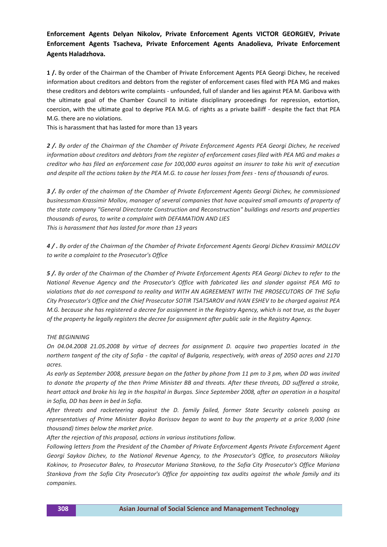## **Enforcement Agents Delyan Nikolov, Private Enforcement Agents VICTOR GEORGIEV, Private Enforcement Agents Tsacheva, Private Enforcement Agents Anadolieva, Private Enforcement Agents Haladzhova.**

**1 /.** By order of the Chairman of the Chamber of Private Enforcement Agents PEA Georgi Dichev, he received information about creditors and debtors from the register of enforcement cases filed with PEA MG and makes these creditors and debtors write complaints - unfounded, full of slander and lies against PEA M. Garibova with the ultimate goal of the Chamber Council to initiate disciplinary proceedings for repression, extortion, coercion, with the ultimate goal to deprive PEA M.G. of rights as a private bailiff - despite the fact that PEA M.G. there are no violations.

This is harassment that has lasted for more than 13 years

*2 /. By order of the Chairman of the Chamber of Private Enforcement Agents PEA Georgi Dichev, he received information about creditors and debtors from the register of enforcement cases filed with PEA MG and makes a creditor who has filed an enforcement case for 100,000 euros against an insurer to take his writ of execution and despite all the actions taken by the PEA M.G. to cause her losses from fees - tens of thousands of euros.*

*3 /. By order of the chairman of the Chamber of Private Enforcement Agents Georgi Dichev, he commissioned businessman Krassimir Mollov, manager of several companies that have acquired small amounts of property of the state company "General Directorate Construction and Reconstruction" buildings and resorts and properties thousands of euros, to write a complaint with DEFAMATION AND LIES This is harassment that has lasted for more than 13 years*

*4 / . By order of the Chairman of the Chamber of Private Enforcement Agents Georgi Dichev Krassimir MOLLOV to write a complaint to the Prosecutor's Office*

*5 /. By order of the Chairman of the Chamber of Private Enforcement Agents PEA Georgi Dichev to refer to the National Revenue Agency and the Prosecutor's Office with fabricated lies and slander against PEA MG to violations that do not correspond to reality and WITH AN AGREEMENT WITH THE PROSECUTORS OF THE Sofia City Prosecutor's Office and the Chief Prosecutor SOTIR TSATSAROV and IVAN ESHEV to be charged against PEA M.G. because she has registered a decree for assignment in the Registry Agency, which is not true, as the buyer of the property he legally registers the decree for assignment after public sale in the Registry Agency.*

### *THE BEGINNING*

*On 04.04.2008 21.05.2008 by virtue of decrees for assignment D. acquire two properties located in the northern tangent of the city of Sofia - the capital of Bulgaria, respectively, with areas of 2050 acres and 2170 acres.*

*As early as September 2008, pressure began on the father by phone from 11 pm to 3 pm, when DD was invited to donate the property of the then Prime Minister BB and threats. After these threats, DD suffered a stroke, heart attack and broke his leg in the hospital in Burgas. Since September 2008, after an operation in a hospital in Sofia, DD has been in bed in Sofia.*

*After threats and racketeering against the D. family failed, former State Security colonels posing as representatives of Prime Minister Boyko Borissov began to want to buy the property at a price 9,000 (nine thousand) times below the market price.*

*After the rejection of this proposal, actions in various institutions follow.*

*Following letters from the President of the Chamber of Private Enforcement Agents Private Enforcement Agent Georgi Saykov Dichev, to the National Revenue Agency, to the Prosecutor's Office, to prosecutors Nikolay Kokinov, to Prosecutor Balev, to Prosecutor Mariana Stankova, to the Sofia City Prosecutor's Office Mariana Stankova from the Sofia City Prosecutor's Office for appointing tax audits against the whole family and its companies.*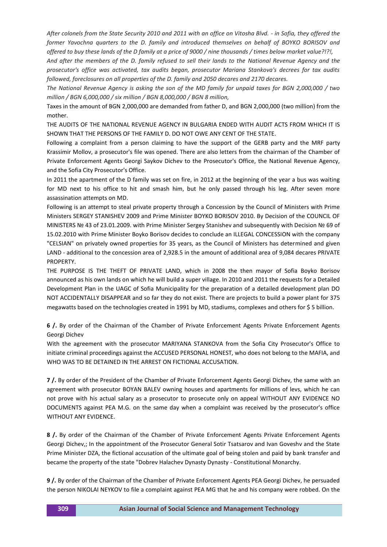*After colonels from the State Security 2010 and 2011 with an office on Vitosha Blvd. - in Sofia, they offered the former Yavochna quarters to the D. family and introduced themselves on behalf of BOYKO BORISOV and offered to buy these lands of the D family at a price of 9000 / nine thousands / times below market value?!?!,*

*And after the members of the D. family refused to sell their lands to the National Revenue Agency and the prosecutor's office was activated, tax audits began, prosecutor Mariana Stankova's decrees for tax audits followed, foreclosures on all properties of the D. family and 2050 decares and 2170 decares.*

*The National Revenue Agency is asking the son of the MD family for unpaid taxes for BGN 2,000,000 / two million / BGN 6,000,000 / six million / BGN 8,000,000 / BGN 8 million,*

Taxes in the amount of BGN 2,000,000 are demanded from father D, and BGN 2,000,000 (two million) from the mother.

THE AUDITS OF THE NATIONAL REVENUE AGENCY IN BULGARIA ENDED WITH AUDIT ACTS FROM WHICH IT IS SHOWN THAT THE PERSONS OF THE FAMILY D. DO NOT OWE ANY CENT OF THE STATE.

Following a complaint from a person claiming to have the support of the GERB party and the MRF party Krassimir Mollov, a prosecutor's file was opened. There are also letters from the chairman of the Chamber of Private Enforcement Agents Georgi Saykov Dichev to the Prosecutor's Office, the National Revenue Agency, and the Sofia City Prosecutor's Office.

In 2011 the apartment of the D family was set on fire, in 2012 at the beginning of the year a bus was waiting for MD next to his office to hit and smash him, but he only passed through his leg. After seven more assassination attempts on MD.

Following is an attempt to steal private property through a Concession by the Council of Ministers with Prime Ministers SERGEY STANISHEV 2009 and Prime Minister BOYKO BORISOV 2010. By Decision of the COUNCIL OF MINISTERS № 43 of 23.01.2009. with Prime Minister Sergey Stanishev and subsequently with Decision № 69 of 15.02.2010 with Prime Minister Boyko Borisov decides to conclude an ILLEGAL CONCESSION with the company "CELSIAN" on privately owned properties for 35 years, as the Council of Ministers has determined and given LAND - additional to the concession area of 2,928.5 in the amount of additional area of 9,084 decares PRIVATE **PROPERTY** 

THE PURPOSE IS THE THEFT OF PRIVATE LAND, which in 2008 the then mayor of Sofia Boyko Borisov announced as his own lands on which he will build a super village. In 2010 and 2011 the requests for a Detailed Development Plan in the UAGC of Sofia Municipality for the preparation of a detailed development plan DO NOT ACCIDENTALLY DISAPPEAR and so far they do not exist. There are projects to build a power plant for 375 megawatts based on the technologies created in 1991 by MD, stadiums, complexes and others for \$ 5 billion.

**6 /.** By order of the Chairman of the Chamber of Private Enforcement Agents Private Enforcement Agents Georgi Dichev

With the agreement with the prosecutor MARIYANA STANKOVA from the Sofia City Prosecutor's Office to initiate criminal proceedings against the ACCUSED PERSONAL HONEST, who does not belong to the MAFIA, and WHO WAS TO BE DETAINED IN THE ARREST ON FICTIONAL ACCUSATION.

**7 /.** By order of the President of the Chamber of Private Enforcement Agents Georgi Dichev, the same with an agreement with prosecutor BOYAN BALEV owning houses and apartments for millions of levs, which he can not prove with his actual salary as a prosecutor to prosecute only on appeal WITHOUT ANY EVIDENCE NO DOCUMENTS against PEA M.G. on the same day when a complaint was received by the prosecutor's office WITHOUT ANY EVIDENCE.

**8 /.** By order of the Chairman of the Chamber of Private Enforcement Agents Private Enforcement Agents Georgi Dichev,; In the appointment of the Prosecutor General Sotir Tsatsarov and Ivan Goveshv and the State Prime Minister DZA, the fictional accusation of the ultimate goal of being stolen and paid by bank transfer and became the property of the state "Dobrev Halachev Dynasty Dynasty - Constitutional Monarchy.

**9 /.** By order of the Chairman of the Chamber of Private Enforcement Agents PEA Georgi Dichev, he persuaded the person NIKOLAI NEYKOV to file a complaint against PEA MG that he and his company were robbed. On the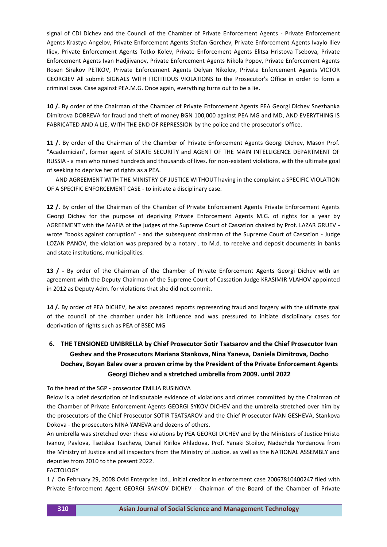signal of CDI Dichev and the Council of the Chamber of Private Enforcement Agents - Private Enforcement Agents Krastyo Angelov, Private Enforcement Agents Stefan Gorchev, Private Enforcement Agents Ivaylo Iliev Iliev, Private Enforcement Agents Totko Kolev, Private Enforcement Agents Elitsa Hristova Tsebova, Private Enforcement Agents Ivan Hadjiivanov, Private Enforcement Agents Nikola Popov, Private Enforcement Agents Rosen Sirakov PETKOV, Private Enforcement Agents Delyan Nikolov, Private Enforcement Agents VICTOR GEORGIEV All submit SIGNALS WITH FICTITIOUS VIOLATIONS to the Prosecutor's Office in order to form a criminal case. Case against PEA.M.G. Once again, everything turns out to be a lie.

**10 /.** By order of the Chairman of the Chamber of Private Enforcement Agents PEA Georgi Dichev Snezhanka Dimitrova DOBREVA for fraud and theft of money BGN 100,000 against PEA MG and MD, AND EVERYTHING IS FABRICATED AND A LIE, WITH THE END OF REPRESSION by the police and the prosecutor's office.

**11 /.** By order of the Chairman of the Chamber of Private Enforcement Agents Georgi Dichev, Mason Prof. "Academician", former agent of STATE SECURITY and AGENT OF THE MAIN INTELLIGENCE DEPARTMENT OF RUSSIA - a man who ruined hundreds and thousands of lives. for non-existent violations, with the ultimate goal of seeking to deprive her of rights as a PEA.

 AND AGREEMENT WITH THE MINISTRY OF JUSTICE WITHOUT having in the complaint a SPECIFIC VIOLATION OF A SPECIFIC ENFORCEMENT CASE - to initiate a disciplinary case.

**12 /.** By order of the Chairman of the Chamber of Private Enforcement Agents Private Enforcement Agents Georgi Dichev for the purpose of depriving Private Enforcement Agents M.G. of rights for a year by AGREEMENT with the MAFIA of the judges of the Supreme Court of Cassation chaired by Prof. LAZAR GRUEV wrote "books against corruption" - and the subsequent chairman of the Supreme Court of Cassation - Judge LOZAN PANOV, the violation was prepared by a notary . to M.d. to receive and deposit documents in banks and state institutions, municipalities.

**13 / -** By order of the Chairman of the Chamber of Private Enforcement Agents Georgi Dichev with an agreement with the Deputy Chairman of the Supreme Court of Cassation Judge KRASIMIR VLAHOV appointed in 2012 as Deputy Adm. for violations that she did not commit.

**14 /.** By order of PEA DICHEV, he also prepared reports representing fraud and forgery with the ultimate goal of the council of the chamber under his influence and was pressured to initiate disciplinary cases for deprivation of rights such as PEA of BSEC MG

# **6. THE TENSIONED UMBRELLA by Chief Prosecutor Sotir Tsatsarov and the Chief Prosecutor Ivan Geshev and the Prosecutors Mariana Stankova, Nina Yaneva, Daniela Dimitrova, Docho Dochev, Boyan Balev over a proven crime by the President of the Private Enforcement Agents Georgi Dichev and a stretched umbrella from 2009. until 2022**

To the head of the SGP - prosecutor EMILIA RUSINOVA

Below is a brief description of indisputable evidence of violations and crimes committed by the Chairman of the Chamber of Private Enforcement Agents GEORGI SYKOV DICHEV and the umbrella stretched over him by the prosecutors of the Chief Prosecutor SOTIR TSATSAROV and the Chief Prosecutor IVAN GESHEVA, Stankova Dokova - the prosecutors NINA YANEVA and dozens of others.

An umbrella was stretched over these violations by PEA GEORGI DICHEV and by the Ministers of Justice Hristo Ivanov, Pavlova, Tsetsksa Tsacheva, Danail Kirilov Ahladova, Prof. Yanaki Stoilov, Nadezhda Yordanova from the Ministry of Justice and all inspectors from the Ministry of Justice. as well as the NATIONAL ASSEMBLY and deputies from 2010 to the present 2022.

### FACTOLOGY

1 /. On February 29, 2008 Ovid Enterprise Ltd., initial creditor in enforcement case 20067810400247 filed with Private Enforcement Agent GEORGI SAYKOV DICHEV - Chairman of the Board of the Chamber of Private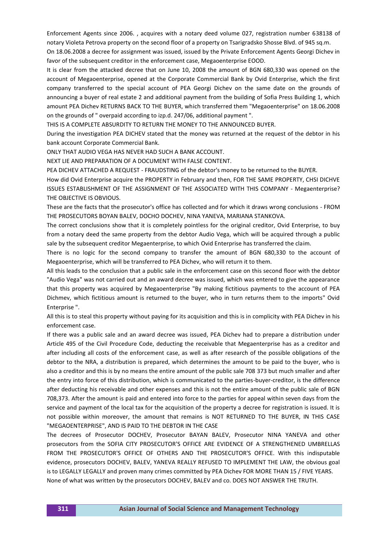Enforcement Agents since 2006. , acquires with a notary deed volume 027, registration number 638138 of notary Violeta Petrova property on the second floor of a property on Tsarigradsko Shosse Blvd. of 945 sq.m.

On 18.06.2008 a decree for assignment was issued, issued by the Private Enforcement Agents Georgi Dichev in favor of the subsequent creditor in the enforcement case, Megaoenterprise EOOD.

It is clear from the attacked decree that on June 10, 2008 the amount of BGN 680,330 was opened on the account of Megaoenterprise, opened at the Corporate Commercial Bank by Ovid Enterprise, which the first company transferred to the special account of PEA Georgi Dichev on the same date on the grounds of announcing a buyer of real estate 2 and additional payment from the building of Sofia Press Building 1, which amount PEA Dichev RETURNS BACK TO THE BUYER, which transferred them "Megaoenterprise" on 18.06.2008 on the grounds of " overpaid according to izp.d. 247/06, additional payment ".

THIS IS A COMPLETE ABSURDITY TO RETURN THE MONEY TO THE ANNOUNCED BUYER.

During the investigation PEA DICHEV stated that the money was returned at the request of the debtor in his bank account Corporate Commercial Bank.

ONLY THAT AUDIO VEGA HAS NEVER HAD SUCH A BANK ACCOUNT.

NEXT LIE AND PREPARATION OF A DOCUMENT WITH FALSE CONTENT.

PEA DICHEV ATTACHED A REQUEST - FRAUDSTING of the debtor's money to be returned to the BUYER.

How did Ovid Enterprise acquire the PROPERTY in February and then, FOR THE SAME PROPERTY, CHSI DICHVE ISSUES ESTABLISHMENT OF THE ASSIGNMENT OF THE ASSOCIATED WITH THIS COMPANY - Megaenterprise? THE OBJECTIVE IS OBVIOUS.

These are the facts that the prosecutor's office has collected and for which it draws wrong conclusions - FROM THE PROSECUTORS BOYAN BALEV, DOCHO DOCHEV, NINA YANEVA, MARIANA STANKOVA.

The correct conclusions show that it is completely pointless for the original creditor, Ovid Enterprise, to buy from a notary deed the same property from the debtor Audio Vega, which will be acquired through a public sale by the subsequent creditor Megaenterprise, to which Ovid Enterprise has transferred the claim.

There is no logic for the second company to transfer the amount of BGN 680,330 to the account of Megaoenterprise, which will be transferred to PEA Dichev, who will return it to them.

All this leads to the conclusion that a public sale in the enforcement case on this second floor with the debtor "Audio Vega" was not carried out and an award decree was issued, which was entered to give the appearance that this property was acquired by Megaoenterprise "By making fictitious payments to the account of PEA Dichmev, which fictitious amount is returned to the buyer, who in turn returns them to the imports" Ovid Enterprise ".

All this is to steal this property without paying for its acquisition and this is in complicity with PEA Dichev in his enforcement case.

If there was a public sale and an award decree was issued, PEA Dichev had to prepare a distribution under Article 495 of the Civil Procedure Code, deducting the receivable that Megaenterprise has as a creditor and after including all costs of the enforcement case, as well as after research of the possible obligations of the debtor to the NRA, a distribution is prepared, which determines the amount to be paid to the buyer, who is also a creditor and this is by no means the entire amount of the public sale 708 373 but much smaller and after the entry into force of this distribution, which is communicated to the parties-buyer-creditor, is the difference after deducting his receivable and other expenses and this is not the entire amount of the public sale of BGN 708,373. After the amount is paid and entered into force to the parties for appeal within seven days from the service and payment of the local tax for the acquisition of the property a decree for registration is issued. It is not possible within moreover, the amount that remains is NOT RETURNED TO THE BUYER, IN THIS CASE "MEGAOENTERPRISE", AND IS PAID TO THE DEBTOR IN THE CASE

The decrees of Prosecutor DOCHEV, Prosecutor BAYAN BALEV, Prosecutor NINA YANEVA and other prosecutors from the SOFIA CITY PROSECUTOR'S OFFICE ARE EVIDENCE OF A STRENGTHENED UMBRELLAS FROM THE PROSECUTOR'S OFFICE OF OTHERS AND THE PROSECUTOR'S OFFICE. With this indisputable evidence, prosecutors DOCHEV, BALEV, YANEVA REALLY REFUSED TO IMPLEMENT THE LAW, the obvious goal is to LEGALLY LEGALLY and proven many crimes committed by PEA Dichev FOR MORE THAN 15 / FIVE YEARS. None of what was written by the prosecutors DOCHEV, BALEV and co. DOES NOT ANSWER THE TRUTH.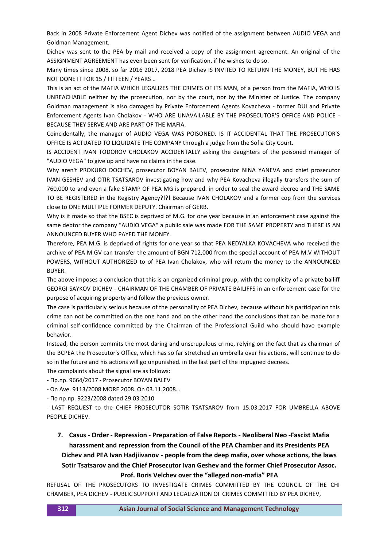Back in 2008 Private Enforcement Agent Dichev was notified of the assignment between AUDIO VEGA and Goldman Management.

Dichev was sent to the PEA by mail and received a copy of the assignment agreement. An original of the ASSIGNMENT AGREEMENT has even been sent for verification, if he wishes to do so.

Many times since 2008. so far 2016 2017, 2018 PEA Dichev IS INVITED TO RETURN THE MONEY, BUT HE HAS NOT DONE IT FOR 15 / FIFTEEN / YEARS ..

This is an act of the MAFIA WHICH LEGALIZES THE CRIMES OF ITS MAN, of a person from the MAFIA, WHO IS UNREACHABLE neither by the prosecution, nor by the court, nor by the Minister of Justice. The company Goldman management is also damaged by Private Enforcement Agents Kovacheva - former DUI and Private Enforcement Agents Ivan Cholakov - WHO ARE UNAVAILABLE BY THE PROSECUTOR'S OFFICE AND POLICE - BECAUSE THEY SERVE AND ARE PART OF THE MAFIA.

Coincidentally, the manager of AUDIO VEGA WAS POISONED. IS IT ACCIDENTAL THAT THE PROSECUTOR'S OFFICE IS ACTUATED TO LIQUIDATE THE COMPANY through a judge from the Sofia City Court.

IS ACCIDENT IVAN TODOROV CHOLAKOV ACCIDENTALLY asking the daughters of the poisoned manager of "AUDIO VEGA" to give up and have no claims in the case.

Why aren't PROKURO DOCHEV, prosecutor BOYAN BALEV, prosecutor NINA YANEVA and chief prosecutor IVAN GESHEV and OTIR TSATSAROV investigating how and why PEA Kovacheva illegally transfers the sum of 760,000 to and even a fake STAMP OF PEA MG is prepared. in order to seal the award decree and THE SAME TO BE REGISTERED in the Registry Agency?!?! Because IVAN CHOLAKOV and a former cop from the services close to ONE MULTIPLE FORMER DEPUTY. Chairman of GERB.

Why is it made so that the BSEC is deprived of M.G. for one year because in an enforcement case against the same debtor the company "AUDIO VEGA" a public sale was made FOR THE SAME PROPERTY and THERE IS AN ANNOUNCED BUYER WHO PAYED THE MONEY.

Therefore, PEA M.G. is deprived of rights for one year so that PEA NEDYALKA KOVACHEVA who received the archive of PEA M.GV can transfer the amount of BGN 712,000 from the special account of PEA M.V WITHOUT POWERS, WITHOUT AUTHORIZED to of PEA Ivan Cholakov, who will return the money to the ANNOUNCED BUYER.

The above imposes a conclusion that this is an organized criminal group, with the complicity of a private bailiff GEORGI SAYKOV DICHEV - CHAIRMAN OF THE CHAMBER OF PRIVATE BAILIFFS in an enforcement case for the purpose of acquiring property and follow the previous owner.

The case is particularly serious because of the personality of PEA Dichev, because without his participation this crime can not be committed on the one hand and on the other hand the conclusions that can be made for a criminal self-confidence committed by the Chairman of the Professional Guild who should have example behavior.

Instead, the person commits the most daring and unscrupulous crime, relying on the fact that as chairman of the BCPEA the Prosecutor's Office, which has so far stretched an umbrella over his actions, will continue to do so in the future and his actions will go unpunished. in the last part of the impugned decrees.

The complaints about the signal are as follows:

- Пр.пр. 9664/2017 - Prosecutor BOYAN BALEV

- On Ave. 9113/2008 MORE 2008. On 03.11.2008. .

- По пр.пр. 9223/2008 dated 29.03.2010

- LAST REQUEST to the CHIEF PROSECUTOR SOTIR TSATSAROV from 15.03.2017 FOR UMBRELLA ABOVE PEOPLE DICHEV.

# **7. Casus - Order - Repression - Preparation of False Reports - Neoliberal Neo -Fascist Mafia harassment and repression from the Council of the PEA Chamber and its Presidents PEA Dichev and PEA Ivan Hadjiivanov - people from the deep mafia, over whose actions, the laws Sotir Tsatsarov and the Chief Prosecutor Ivan Geshev and the former Chief Prosecutor Assoc. Prof. Boris Velchev over the "alleged non-mafia" PEA**

REFUSAL OF THE PROSECUTORS TO INVESTIGATE CRIMES COMMITTED BY THE COUNCIL OF THE CHI CHAMBER, PEA DICHEV - PUBLIC SUPPORT AND LEGALIZATION OF CRIMES COMMITTED BY PEA DICHEV,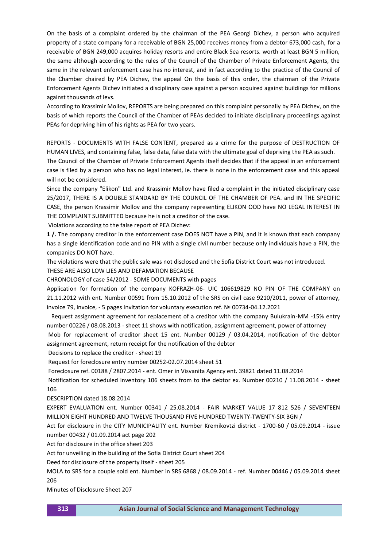On the basis of a complaint ordered by the chairman of the PEA Georgi Dichev, a person who acquired property of a state company for a receivable of BGN 25,000 receives money from a debtor 673,000 cash, for a receivable of BGN 249,000 acquires holiday resorts and entire Black Sea resorts. worth at least BGN 5 million, the same although according to the rules of the Council of the Chamber of Private Enforcement Agents, the same in the relevant enforcement case has no interest, and in fact according to the practice of the Council of the Chamber chaired by PEA Dichev, the appeal On the basis of this order, the chairman of the Private Enforcement Agents Dichev initiated a disciplinary case against a person acquired against buildings for millions against thousands of levs.

According to Krassimir Mollov, REPORTS are being prepared on this complaint personally by PEA Dichev, on the basis of which reports the Council of the Chamber of PEAs decided to initiate disciplinary proceedings against PEAs for depriving him of his rights as PEA for two years.

REPORTS - DOCUMENTS WITH FALSE CONTENT, prepared as a crime for the purpose of DESTRUCTION OF HUMAN LIVES, and containing false, false data, false data with the ultimate goal of depriving the PEA as such. The Council of the Chamber of Private Enforcement Agents itself decides that if the appeal in an enforcement case is filed by a person who has no legal interest, ie. there is none in the enforcement case and this appeal will not be considered.

Since the company "Elikon" Ltd. and Krassimir Mollov have filed a complaint in the initiated disciplinary case 25/2017, THERE IS A DOUBLE STANDARD BY THE COUNCIL OF THE CHAMBER OF PEA. and IN THE SPECIFIC CASE, the person Krassimir Mollov and the company representing ELIKON OOD have NO LEGAL INTEREST IN THE COMPLAINT SUBMITTED because he is not a creditor of the case.

Violations according to the false report of PEA Dichev:

**1 /.** The company creditor in the enforcement case DOES NOT have a PIN, and it is known that each company has a single identification code and no PIN with a single civil number because only individuals have a PIN, the companies DO NOT have.

The violations were that the public sale was not disclosed and the Sofia District Court was not introduced. THESE ARE ALSO LOW LIES AND DEFAMATION BECAUSE

CHRONOLOGY of case 54/2012 - SOME DOCUMENTS with pages

Application for formation of the company KOFRAZH-06- UIC 106619829 NO PIN OF THE COMPANY on 21.11.2012 with ent. Number 00591 from 15.10.2012 of the SRS on civil case 9210/2011, power of attorney, invoice 79, invoice, - 5 pages Invitation for voluntary execution ref. № 00734-04.12.2021

 Request assignment agreement for replacement of a creditor with the company Bulukrain-MM -15% entry number 00226 / 08.08.2013 - sheet 11 shows with notification, assignment agreement, power of attorney

Mob for replacement of creditor sheet 15 ent. Number 00129 / 03.04.2014, notification of the debtor assignment agreement, return receipt for the notification of the debtor

Decisions to replace the creditor - sheet 19

Request for foreclosure entry number 00252-02.07.2014 sheet 51

Foreclosure ref. 00188 / 2807.2014 - ent. Omer in Visvanita Agency ent. 39821 dated 11.08.2014

Notification for scheduled inventory 106 sheets from to the debtor ex. Number 00210 / 11.08.2014 - sheet 106

DESCRIPTION dated 18.08.2014

EXPERT EVALUATION ent. Number 00341 / 25.08.2014 - FAIR MARKET VALUE 17 812 526 / SEVENTEEN MILLION EIGHT HUNDRED AND TWELVE THOUSAND FIVE HUNDRED TWENTY-TWENTY-SIX BGN /

Act for disclosure in the CITY MUNICIPALITY ent. Number Kremikovtzi district - 1700-60 / 05.09.2014 - issue number 00432 / 01.09.2014 act page 202

Act for disclosure in the office sheet 203

Act for unveiling in the building of the Sofia District Court sheet 204

Deed for disclosure of the property itself - sheet 205

MOLA to SRS for a couple sold ent. Number in SRS 6868 / 08.09.2014 - ref. Number 00446 / 05.09.2014 sheet 206

Minutes of Disclosure Sheet 207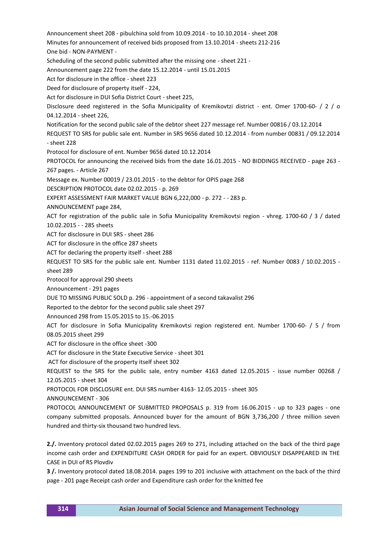Announcement sheet 208 - pibulchina sold from 10.09.2014 - to 10.10.2014 - sheet 208 Minutes for announcement of received bids proposed from 13.10.2014 - sheets 212-216 One bid - NON-PAYMENT - Scheduling of the second public submitted after the missing one - sheet 221 - Announcement page 222 from the date 15.12.2014 - until 15.01.2015 Act for disclosure in the office - sheet 223 Deed for disclosure of property itself - 224, Act for disclosure in DUI Sofia District Court - sheet 225, Disclosure deed registered in the Sofia Municipality of Kremikovtzi district - ent. Omer 1700-60- / 2 / o 04.12.2014 - sheet 226, Notification for the second public sale of the debtor sheet 227 message ref. Number 00816 / 03.12.2014 REQUEST TO SRS for public sale ent. Number in SRS 9656 dated 10.12.2014 - from number 00831 / 09.12.2014 - sheet 228 Protocol for disclosure of ent. Number 9656 dated 10.12.2014 PROTOCOL for announcing the received bids from the date 16.01.2015 - NO BIDDINGS RECEIVED - page 263 - 267 pages. - Article 267 Message ex. Number 00019 / 23.01.2015 - to the debtor for OPIS page 268 DESCRIPTION PROTOCOL date 02.02.2015 - p. 269 EXPERT ASSESSMENT FAIR MARKET VALUE BGN 6,222,000 - p. 272 - - 283 p. ANNOUNCEMENT page 284, ACT for registration of the public sale in Sofia Municipality Kremikovtsi region - vhreg. 1700-60 / 3 / dated 10.02.2015 - - 285 sheets ACT for disclosure in DUI SRS - sheet 286 ACT for disclosure in the office 287 sheets ACT for declaring the property itself - sheet 288 REQUEST TO SRS for the public sale ent. Number 1131 dated 11.02.2015 - ref. Number 0083 / 10.02.2015 sheet 289 Protocol for approval 290 sheets Announcement - 291 pages DUE TO MISSING PUBLIC SOLD p. 296 - appointment of a second takavalist 296 Reported to the debtor for the second public sale sheet 297 Announced 298 from 15.05.2015 to 15.-06.2015 ACT for disclosure in Sofia Municipality Kremikovtsi region registered ent. Number 1700-60- / 5 / from 08.05.2015 sheet 299 ACT for disclosure in the office sheet -300 ACT for disclosure in the State Executive Service - sheet 301 ACT for disclosure of the property itself sheet 302 REQUEST to the SRS for the public sale, entry number 4163 dated 12.05.2015 - issue number 00268 / 12.05.2015 - sheet 304 PROTOCOL FOR DISCLOSURE ent. DUI SRS number 4163- 12.05.2015 - sheet 305 ANNOUNCEMENT - 306 PROTOCOL ANNOUNCEMENT OF SUBMITTED PROPOSALS p. 319 from 16.06.2015 - up to 323 pages - one company submitted proposals. Announced buyer for the amount of BGN 3,736,200 / three million seven hundred and thirty-six thousand two hundred levs. **2./.** Inventory protocol dated 02.02.2015 pages 269 to 271, including attached on the back of the third page income cash order and EXPENDITURE CASH ORDER for paid for an expert. OBVIOUSLY DISAPPEARED IN THE

**3 /.** Inventory protocol dated 18.08.2014. pages 199 to 201 inclusive with attachment on the back of the third page - 201 page Receipt cash order and Expenditure cash order for the knitted fee

CASE in DUI of RS Plovdiv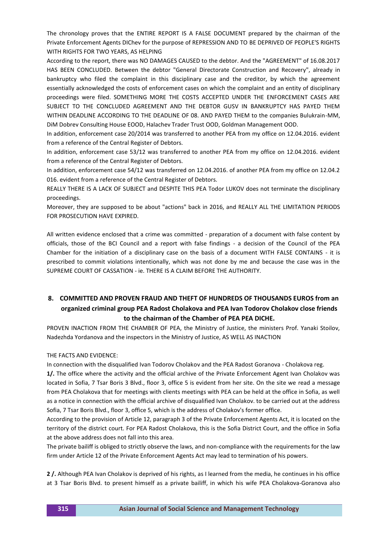The chronology proves that the ENTIRE REPORT IS A FALSE DOCUMENT prepared by the chairman of the Private Enforcement Agents DIChev for the purpose of REPRESSION AND TO BE DEPRIVED OF PEOPLE'S RIGHTS WITH RIGHTS FOR TWO YEARS, AS HELPING

According to the report, there was NO DAMAGES CAUSED to the debtor. And the "AGREEMENT" of 16.08.2017 HAS BEEN CONCLUDED. Between the debtor "General Directorate Construction and Recovery", already in bankruptcy who filed the complaint in this disciplinary case and the creditor, by which the agreement essentially acknowledged the costs of enforcement cases on which the complaint and an entity of disciplinary proceedings were filed. SOMETHING MORE THE COSTS ACCEPTED UNDER THE ENFORCEMENT CASES ARE SUBJECT TO THE CONCLUDED AGREEMENT AND THE DEBTOR GUSV IN BANKRUPTCY HAS PAYED THEM WITHIN DEADLINE ACCORDING TO THE DEADLINE OF 08. AND PAYED THEM to the companies Bulukrain-MM, DiM Dobrev Consulting House EOOD, Halachev Trader Trust OOD, Goldman Management OOD.

In addition, enforcement case 20/2014 was transferred to another PEA from my office on 12.04.2016. evident from a reference of the Central Register of Debtors.

In addition, enforcement case 53/12 was transferred to another PEA from my office on 12.04.2016. evident from a reference of the Central Register of Debtors.

In addition, enforcement case 54/12 was transferred on 12.04.2016. of another PEA from my office on 12.04.2 016. evident from a reference of the Central Register of Debtors.

REALLY THERE IS A LACK OF SUBJECT and DESPITE THIS PEA Todor LUKOV does not terminate the disciplinary proceedings.

Moreover, they are supposed to be about "actions" back in 2016, and REALLY ALL THE LIMITATION PERIODS FOR PROSECUTION HAVE EXPIRED.

All written evidence enclosed that a crime was committed - preparation of a document with false content by officials, those of the BCI Council and a report with false findings - a decision of the Council of the PEA Chamber for the initiation of a disciplinary case on the basis of a document WITH FALSE CONTAINS - it is prescribed to commit violations intentionally, which was not done by me and because the case was in the SUPREME COURT OF CASSATION - ie. THERE IS A CLAIM BEFORE THE AUTHORITY.

## **8. COMMITTED AND PROVEN FRAUD AND THEFT OF HUNDREDS OF THOUSANDS EUROS from an organized criminal group PEA Radost Cholakova and PEA Ivan Todorov Cholakov close friends to the chairman of the Chamber of PEA PEA DICHE.**

PROVEN INACTION FROM THE CHAMBER OF PEA, the Ministry of Justice, the ministers Prof. Yanaki Stoilov, Nadezhda Yordanova and the inspectors in the Ministry of Justice, AS WELL AS INACTION

### THE FACTS AND EVIDENCE:

In connection with the disqualified Ivan Todorov Cholakov and the PEA Radost Goranova - Cholakova reg.

**1/.** The office where the activity and the official archive of the Private Enforcement Agent Ivan Cholakov was located in Sofia, 7 Tsar Boris 3 Blvd., floor 3, office 5 is evident from her site. On the site we read a message from PEA Cholakova that for meetings with clients meetings with PEA can be held at the office in Sofia, as well as a notice in connection with the official archive of disqualified Ivan Cholakov. to be carried out at the address Sofia, 7 Tsar Boris Blvd., floor 3, office 5, which is the address of Cholakov's former office.

According to the provision of Article 12, paragraph 3 of the Private Enforcement Agents Act, it is located on the territory of the district court. For PEA Radost Cholakova, this is the Sofia District Court, and the office in Sofia at the above address does not fall into this area.

The private bailiff is obliged to strictly observe the laws, and non-compliance with the requirements for the law firm under Article 12 of the Private Enforcement Agents Act may lead to termination of his powers.

**2 /.** Although PEA Ivan Cholakov is deprived of his rights, as I learned from the media, he continues in his office at 3 Tsar Boris Blvd. to present himself as a private bailiff, in which his wife PEA Cholakova-Goranova also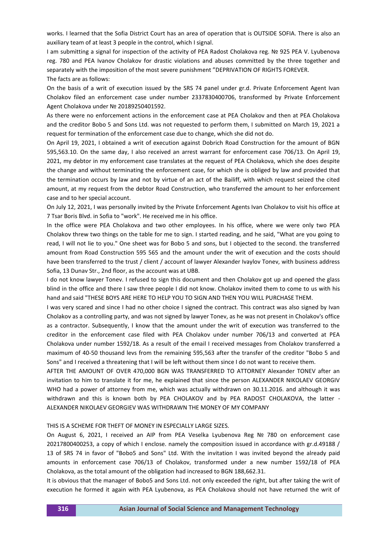works. I learned that the Sofia District Court has an area of operation that is OUTSIDE SOFIA. There is also an auxiliary team of at least 3 people in the control, which I signal.

I am submitting a signal for inspection of the activity of PEA Radost Cholakova reg. № 925 PEA V. Lyubenova reg. 780 and PEA Ivanov Cholakov for drastic violations and abuses committed by the three together and separately with the imposition of the most severe punishment "DEPRIVATION OF RIGHTS FOREVER. The facts are as follows:

On the basis of a writ of execution issued by the SRS 74 panel under gr.d. Private Enforcement Agent Ivan Cholakov filed an enforcement case under number 2337830400706, transformed by Private Enforcement Agent Cholakova under № 20189250401592.

As there were no enforcement actions in the enforcement case at PEA Cholakov and then at PEA Cholakova and the creditor Bobo 5 and Sons Ltd. was not requested to perform them, I submitted on March 19, 2021 a request for termination of the enforcement case due to change, which she did not do.

On April 19, 2021, I obtained a writ of execution against Dobrich Road Construction for the amount of BGN 595,563.10. On the same day, I also received an arrest warrant for enforcement case 706/13. On April 19, 2021, my debtor in my enforcement case translates at the request of PEA Cholakova, which she does despite the change and without terminating the enforcement case, for which she is obliged by law and provided that the termination occurs by law and not by virtue of an act of the Bailiff, with which request seized the cited amount, at my request from the debtor Road Construction, who transferred the amount to her enforcement case and to her special account.

On July 12, 2021, I was personally invited by the Private Enforcement Agents Ivan Cholakov to visit his office at 7 Tsar Boris Blvd. in Sofia to "work". He received me in his office.

In the office were PEA Cholakova and two other employees. In his office, where we were only two PEA Cholakov threw two things on the table for me to sign. I started reading, and he said, "What are you going to read, I will not lie to you." One sheet was for Bobo 5 and sons, but I objected to the second. the transferred amount from Road Construction 595 565 and the amount under the writ of execution and the costs should have been transferred to the trust / client / account of lawyer Alexander Ivaylov Tonev, with business address Sofia, 13 Dunav Str., 2nd floor, as the account was at UBB.

I do not know lawyer Tonev. I refused to sign this document and then Cholakov got up and opened the glass blind in the office and there I saw three people I did not know. Cholakov invited them to come to us with his hand and said "THESE BOYS ARE HERE TO HELP YOU TO SIGN AND THEN YOU WILL PURCHASE THEM.

I was very scared and since I had no other choice I signed the contract. This contract was also signed by Ivan Cholakov as a controlling party, and was not signed by lawyer Tonev, as he was not present in Cholakov's office as a contractor. Subsequently, I know that the amount under the writ of execution was transferred to the creditor in the enforcement case filed with PEA Cholakov under number 706/13 and converted at PEA Cholakova under number 1592/18. As a result of the email I received messages from Cholakov transferred a maximum of 40-50 thousand levs from the remaining 595,563 after the transfer of the creditor "Bobo 5 and Sons" and I received a threatening that I will be left without them since I do not want to receive them.

AFTER THE AMOUNT OF OVER 470,000 BGN WAS TRANSFERRED TO ATTORNEY Alexander TONEV after an invitation to him to translate it for me, he explained that since the person ALEXANDER NIKOLAEV GEORGIV WHO had a power of attorney from me, which was actually withdrawn on 30.11.2016. and although it was withdrawn and this is known both by PEA CHOLAKOV and by PEA RADOST CHOLAKOVA, the latter - ALEXANDER NIKOLAEV GEORGIEV WAS WITHDRAWN THE MONEY OF MY COMPANY

#### THIS IS A SCHEME FOR THEFT OF MONEY IN ESPECIALLY LARGE SIZES.

On August 6, 2021, I received an AIP from PEA Veselka Lyubenova Reg № 780 on enforcement case 20217800400253, a copy of which I enclose. namely the composition issued in accordance with gr.d.49188 / 13 of SRS 74 in favor of "Bobo5 and Sons" Ltd. With the invitation I was invited beyond the already paid amounts in enforcement case 706/13 of Cholakov, transformed under a new number 1592/18 of PEA Cholakova, as the total amount of the obligation had increased to BGN 188,662.31.

It is obvious that the manager of Bobo5 and Sons Ltd. not only exceeded the right, but after taking the writ of execution he formed it again with PEA Lyubenova, as PEA Cholakova should not have returned the writ of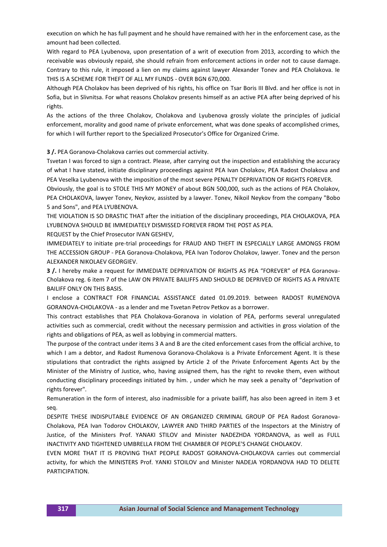execution on which he has full payment and he should have remained with her in the enforcement case, as the amount had been collected.

With regard to PEA Lyubenova, upon presentation of a writ of execution from 2013, according to which the receivable was obviously repaid, she should refrain from enforcement actions in order not to cause damage. Contrary to this rule, it imposed a lien on my claims against lawyer Alexander Tonev and PEA Cholakova. Ie THIS IS A SCHEME FOR THEFT OF ALL MY FUNDS - OVER BGN 670,000.

Although PEA Cholakov has been deprived of his rights, his office on Tsar Boris III Blvd. and her office is not in Sofia, but in Slivnitsa. For what reasons Cholakov presents himself as an active PEA after being deprived of his rights.

As the actions of the three Cholakov, Cholakova and Lyubenova grossly violate the principles of judicial enforcement, morality and good name of private enforcement, what was done speaks of accomplished crimes, for which I will further report to the Specialized Prosecutor's Office for Organized Crime.

**3 /.** PEA Goranova-Cholakova carries out commercial activity.

Tsvetan I was forced to sign a contract. Please, after carrying out the inspection and establishing the accuracy of what I have stated, initiate disciplinary proceedings against PEA Ivan Cholakov, PEA Radost Cholakova and PEA Veselka Lyubenova with the imposition of the most severe PENALTY DEPRIVATION OF RIGHTS FOREVER.

Obviously, the goal is to STOLE THIS MY MONEY of about BGN 500,000, such as the actions of PEA Cholakov, PEA CHOLAKOVA, lawyer Tonev, Neykov, assisted by a lawyer. Tonev, Nikoil Neykov from the company "Bobo 5 and Sons", and PEA LYUBENOVA.

THE VIOLATION IS SO DRASTIC THAT after the initiation of the disciplinary proceedings, PEA CHOLAKOVA, PEA LYUBENOVA SHOULD BE IMMEDIATELY DISMISSED FOREVER FROM THE POST AS PEA.

REQUEST by the Chief Prosecutor IVAN GESHEV,

IMMEDIATELY to initiate pre-trial proceedings for FRAUD AND THEFT IN ESPECIALLY LARGE AMONGS FROM THE ACCESSION GROUP - PEA Goranova-Cholakova, PEA Ivan Todorov Cholakov, lawyer. Tonev and the person ALEXANDER NIKOLAEV GEORGIEV.

**3 /.** I hereby make a request for IMMEDIATE DEPRIVATION OF RIGHTS AS PEA "FOREVER" of PEA Goranova-Cholakova reg. 6 item 7 of the LAW ON PRIVATE BAILIFFS AND SHOULD BE DEPRIVED OF RIGHTS AS A PRIVATE BAILIFF ONLY ON THIS BASIS.

I enclose a CONTRACT FOR FINANCIAL ASSISTANCE dated 01.09.2019. between RADOST RUMENOVA GORANOVA-CHOLAKOVA - as a lender and me Tsvetan Petrov Petkov as a borrower.

This contract establishes that PEA Cholakova-Goranova in violation of PEA, performs several unregulated activities such as commercial, credit without the necessary permission and activities in gross violation of the rights and obligations of PEA, as well as lobbying in commercial matters.

The purpose of the contract under items 3 A and B are the cited enforcement cases from the official archive, to which I am a debtor, and Radost Rumenova Goranova-Cholakova is a Private Enforcement Agent. It is these stipulations that contradict the rights assigned by Article 2 of the Private Enforcement Agents Act by the Minister of the Ministry of Justice, who, having assigned them, has the right to revoke them, even without conducting disciplinary proceedings initiated by him. , under which he may seek a penalty of "deprivation of rights forever".

Remuneration in the form of interest, also inadmissible for a private bailiff, has also been agreed in item 3 et seq.

DESPITE THESE INDISPUTABLE EVIDENCE OF AN ORGANIZED CRIMINAL GROUP OF PEA Radost Goranova-Cholakova, PEA Ivan Todorov CHOLAKOV, LAWYER AND THIRD PARTIES of the Inspectors at the Ministry of Justice, of the Ministers Prof. YANAKI STILOV and Minister NADEZHDA YORDANOVA, as well as FULL INACTIVITY AND TIGHTENED UMBRELLA FROM THE CHAMBER OF PEOPLE'S CHANGE CHOLAKOV.

EVEN MORE THAT IT IS PROVING THAT PEOPLE RADOST GORANOVA-CHOLAKOVA carries out commercial activity, for which the MINISTERS Prof. YANKI STOILOV and Minister NADEJA YORDANOVA HAD TO DELETE PARTICIPATION.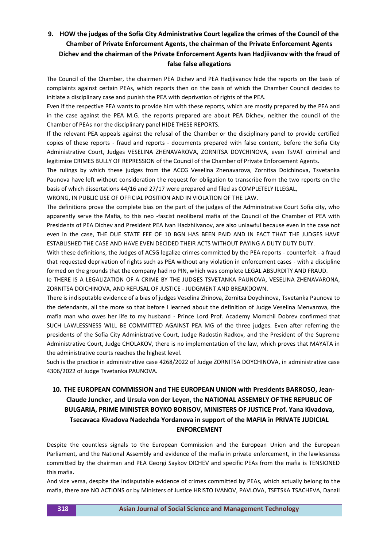# **9. HOW the judges of the Sofia City Administrative Court legalize the crimes of the Council of the Chamber of Private Enforcement Agents, the chairman of the Private Enforcement Agents Dichev and the chairman of the Private Enforcement Agents Ivan Hadjiivanov with the fraud of false false allegations**

The Council of the Chamber, the chairmen PEA Dichev and PEA Hadjiivanov hide the reports on the basis of complaints against certain PEAs, which reports then on the basis of which the Chamber Council decides to initiate a disciplinary case and punish the PEA with deprivation of rights of the PEA.

Even if the respective PEA wants to provide him with these reports, which are mostly prepared by the PEA and in the case against the PEA M.G. the reports prepared are about PEA Dichev, neither the council of the Chamber of PEAs nor the disciplinary panel HIDE THESE REPORTS.

If the relevant PEA appeals against the refusal of the Chamber or the disciplinary panel to provide certified copies of these reports - fraud and reports - documents prepared with false content, before the Sofia City Administrative Court, Judges VESELINA ZHENAVAROVA, ZORNITSA DOYCHINOVA, even TsVAT criminal and legitimize CRIMES BULLY OF REPRESSION of the Council of the Chamber of Private Enforcement Agents.

The rulings by which these judges from the ACCG Veselina Zhenavarova, Zornitsa Doichinova, Tsvetanka Paunova have left without consideration the request for obligation to transcribe from the two reports on the basis of which dissertations 44/16 and 27/17 were prepared and filed as COMPLETELY ILLEGAL,

WRONG, IN PUBLIC USE OF OFFICIAL POSITION AND IN VIOLATION OF THE LAW.

The definitions prove the complete bias on the part of the judges of the Administrative Court Sofia city, who apparently serve the Mafia, to this neo -fascist neoliberal mafia of the Council of the Chamber of PEA with Presidents of PEA Dichev and President PEA Ivan Hadzhiivanov, are also unlawful because even in the case not even in the case, THE DUE STATE FEE OF 10 BGN HAS BEEN PAID AND IN FACT THAT THE JUDGES HAVE ESTABLISHED THE CASE AND HAVE EVEN DECIDED THEIR ACTS WITHOUT PAYING A DUTY DUTY DUTY.

With these definitions, the Judges of ACSG legalize crimes committed by the PEA reports - counterfeit - a fraud that requested deprivation of rights such as PEA without any violation in enforcement cases - with a discipline formed on the grounds that the company had no PIN, which was complete LEGAL ABSURDITY AND FRAUD.

Ie THERE IS A LEGALIZATION OF A CRIME BY THE JUDGES TSVETANKA PAUNOVA, VESELINA ZHENAVARONA, ZORNITSA DOICHINOVA, AND REFUSAL OF JUSTICE - JUDGMENT AND BREAKDOWN.

There is indisputable evidence of a bias of judges Veselina Zhinova, Zornitsa Doychinova, Tsvetanka Paunova to the defendants, all the more so that before I learned about the definition of Judge Veselina Menvarova, the mafia man who owes her life to my husband - Prince Lord Prof. Academy Momchil Dobrev confirmed that SUCH LAWLESSNESS WILL BE COMMITTED AGAINST PEA MG of the three judges. Even after referring the presidents of the Sofia City Administrative Court, Judge Radostin Radkov, and the President of the Supreme Administrative Court, Judge CHOLAKOV, there is no implementation of the law, which proves that MAYATA in the administrative courts reaches the highest level.

Such is the practice in administrative case 4268/2022 of Judge ZORNITSA DOYCHINOVA, in administrative case 4306/2022 of Judge Tsvetanka PAUNOVA.

# **10. THE EUROPEAN COMMISSION and THE EUROPEAN UNION with Presidents BARROSO, Jean-Claude Juncker, and Ursula von der Leyen, the NATIONAL ASSEMBLY OF THE REPUBLIC OF BULGARIA, PRIME MINISTER BOYKO BORISOV, MINISTERS OF JUSTICE Prof. Yana Kivadova, Tsecavaca Kivadova Nadezhda Yordanova in support of the MAFIA in PRIVATE JUDICIAL ENFORCEMENT**

Despite the countless signals to the European Commission and the European Union and the European Parliament, and the National Assembly and evidence of the mafia in private enforcement, in the lawlessness committed by the chairman and PEA Georgi Saykov DICHEV and specific PEAs from the mafia is TENSIONED this mafia.

And vice versa, despite the indisputable evidence of crimes committed by PEAs, which actually belong to the mafia, there are NO ACTIONS or by Ministers of Justice HRISTO IVANOV, PAVLOVA, TSETSKA TSACHEVA, Danail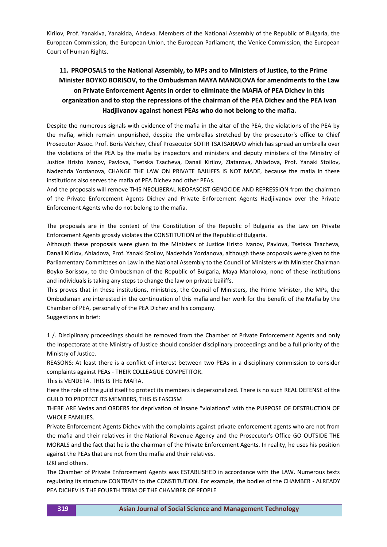Kirilov, Prof. Yanakiva, Yanakida, Ahdeva. Members of the National Assembly of the Republic of Bulgaria, the European Commission, the European Union, the European Parliament, the Venice Commission, the European Court of Human Rights.

# **11. PROPOSALS to the National Assembly, to MPs and to Ministers of Justice, to the Prime Minister BOYKO BORISOV, to the Ombudsman MAYA MANOLOVA for amendments to the Law on Private Enforcement Agents in order to eliminate the MAFIA of PEA Dichev in this organization and to stop the repressions of the chairman of the PEA Dichev and the PEA Ivan Hadjiivanov against honest PEAs who do not belong to the mafia.**

Despite the numerous signals with evidence of the mafia in the altar of the PEA, the violations of the PEA by the mafia, which remain unpunished, despite the umbrellas stretched by the prosecutor's office to Chief Prosecutor Assoc. Prof. Boris Velchev, Chief Prosecutor SOTIR TSATSARAVO which has spread an umbrella over the violations of the PEA by the mafia by inspectors and ministers and deputy ministers of the Ministry of Justice Hristo Ivanov, Pavlova, Tsetska Tsacheva, Danail Kirilov, Zlatarova, Ahladova, Prof. Yanaki Stoilov, Nadezhda Yordanova, CHANGE THE LAW ON PRIVATE BAILIFFS IS NOT MADE, because the mafia in these institutions also serves the mafia of PEA Dichev and other PEAs.

And the proposals will remove THIS NEOLIBERAL NEOFASCIST GENOCIDE AND REPRESSION from the chairmen of the Private Enforcement Agents Dichev and Private Enforcement Agents Hadjiivanov over the Private Enforcement Agents who do not belong to the mafia.

The proposals are in the context of the Constitution of the Republic of Bulgaria as the Law on Private Enforcement Agents grossly violates the CONSTITUTION of the Republic of Bulgaria.

Although these proposals were given to the Ministers of Justice Hristo Ivanov, Pavlova, Tsetska Tsacheva, Danail Kirilov, Ahladova, Prof. Yanaki Stoilov, Nadezhda Yordanova, although these proposals were given to the Parliamentary Committees on Law in the National Assembly to the Council of Ministers with Minister Chairman Boyko Borissov, to the Ombudsman of the Republic of Bulgaria, Maya Manolova, none of these institutions and individuals is taking any steps to change the law on private bailiffs.

This proves that in these institutions, ministries, the Council of Ministers, the Prime Minister, the MPs, the Ombudsman are interested in the continuation of this mafia and her work for the benefit of the Mafia by the Chamber of PEA, personally of the PEA Dichev and his company.

Suggestions in brief:

1 /. Disciplinary proceedings should be removed from the Chamber of Private Enforcement Agents and only the Inspectorate at the Ministry of Justice should consider disciplinary proceedings and be a full priority of the Ministry of Justice.

REASONS: At least there is a conflict of interest between two PEAs in a disciplinary commission to consider complaints against PEAs - THEIR COLLEAGUE COMPETITOR.

This is VENDETA. THIS IS THE MAFIA.

Here the role of the guild itself to protect its members is depersonalized. There is no such REAL DEFENSE of the GUILD TO PROTECT ITS MEMBERS, THIS IS FASCISM

THERE ARE Vedas and ORDERS for deprivation of insane "violations" with the PURPOSE OF DESTRUCTION OF WHOLE FAMILIES.

Private Enforcement Agents Dichev with the complaints against private enforcement agents who are not from the mafia and their relatives in the National Revenue Agency and the Prosecutor's Office GO OUTSIDE THE MORALS and the fact that he is the chairman of the Private Enforcement Agents. In reality, he uses his position against the PEAs that are not from the mafia and their relatives.

IZKI and others.

The Chamber of Private Enforcement Agents was ESTABLISHED in accordance with the LAW. Numerous texts regulating its structure CONTRARY to the CONSTITUTION. For example, the bodies of the CHAMBER - ALREADY PEA DICHEV IS THE FOURTH TERM OF THE CHAMBER OF PEOPLE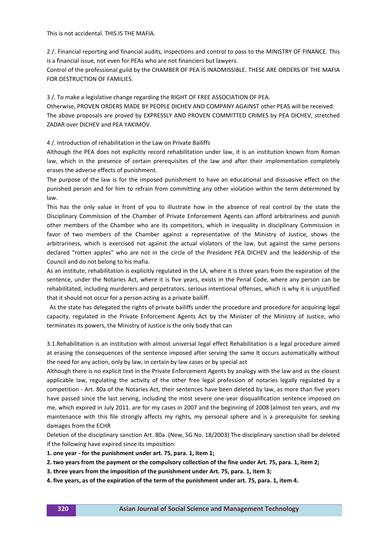This is not accidental. THIS IS THE MAFIA.

2 /. Financial reporting and financial audits, inspections and control to pass to the MINISTRY OF FINANCE. This is a financial issue, not even for PEAs who are not financiers but lawyers.

Control of the professional guild by the CHAMBER OF PEA IS INADMISSIBLE. THESE ARE ORDERS OF THE MAFIA FOR DESTRUCTION OF FAMILIES.

3 /. To make a legislative change regarding the RIGHT OF FREE ASSOCIATION OF PEA.

Otherwise, PROVEN ORDERS MADE BY PEOPLE DICHEV AND COMPANY AGAINST other PEAS will be received. The above proposals are proved by EXPRESSLY AND PROVEN COMMITTED CRIMES by PEA DICHEV, stretched ZADAR over DICHEV and PEA YAKIMOV.

4 /. Introduction of rehabilitation in the Law on Private Bailiffs

Although the PEA does not explicitly record rehabilitation under law, it is an institution known from Roman law, which in the presence of certain prerequisites of the law and after their implementation completely erases the adverse effects of punishment.

The purpose of the law is for the imposed punishment to have an educational and dissuasive effect on the punished person and for him to refrain from committing any other violation within the term determined by law.

This has the only value in front of you to illustrate how in the absence of real control by the state the Disciplinary Commission of the Chamber of Private Enforcement Agents can afford arbitrariness and punish other members of the Chamber who are its competitors, which in inequality in disciplinary Commission in favor of two members of the Chamber against a representative of the Ministry of Justice, shows the arbitrariness, which is exercised not against the actual violators of the law, but against the same persons declared "rotten apples" who are not in the circle of the President PEA DICHEV and the leadership of the Council and do not belong to his mafia.

As an institute, rehabilitation is explicitly regulated in the LA, where it is three years from the expiration of the sentence, under the Notaries Act, where it is five years, exists in the Penal Code, where any person can be rehabilitated, including murderers and perpetrators. serious intentional offenses, which is why it is unjustified that it should not occur for a person acting as a private bailiff.

 As the state has delegated the rights of private bailiffs under the procedure and procedure for acquiring legal capacity, regulated in the Private Enforcement Agents Act by the Minister of the Ministry of Justice, who terminates its powers, the Ministry of Justice is the only body that can

3.1.Rehabilitation is an institution with almost universal legal effect Rehabilitation is a legal procedure aimed at erasing the consequences of the sentence imposed after serving the same It occurs automatically without the need for any action, only by law, in certain by law cases or by special act

Although there is no explicit text in the Private Enforcement Agents by analogy with the law and as the closest applicable law, regulating the activity of the other free legal profession of notaries legally regulated by a competition - Art. 80a of the Notaries Act, their sentences have been deleted by law, as more than five years have passed since the last serving, including the most severe one-year disqualification sentence imposed on me, which expired in July 2011. are for my cases in 2007 and the beginning of 2008 (almost ten years, and my maintenance with this file strongly affects my rights, my personal sphere and is a prerequisite for seeking damages from the ECHR

Deletion of the disciplinary sanction Art. 80a. (New, SG No. 18/2003) The disciplinary sanction shall be deleted if the following have expired since its imposition:

**1. one year - for the punishment under art. 75, para. 1, item 1;**

**2. two years from the payment or the compulsory collection of the fine under Art. 75, para. 1, item 2;**

**3. three years from the imposition of the punishment under Art. 75, para. 1, item 3;**

**4. five years, as of the expiration of the term of the punishment under art. 75, para. 1, item 4.**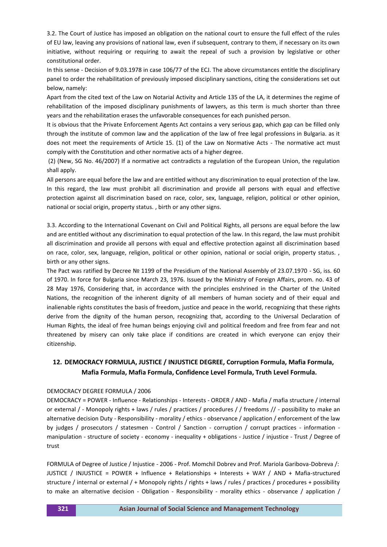3.2. The Court of Justice has imposed an obligation on the national court to ensure the full effect of the rules of EU law, leaving any provisions of national law, even if subsequent, contrary to them, if necessary on its own initiative, without requiring or requiring to await the repeal of such a provision by legislative or other constitutional order.

In this sense - Decision of 9.03.1978 in case 106/77 of the ECJ. The above circumstances entitle the disciplinary panel to order the rehabilitation of previously imposed disciplinary sanctions, citing the considerations set out below, namely:

Apart from the cited text of the Law on Notarial Activity and Article 135 of the LA, it determines the regime of rehabilitation of the imposed disciplinary punishments of lawyers, as this term is much shorter than three years and the rehabilitation erases the unfavorable consequences for each punished person.

It is obvious that the Private Enforcement Agents Act contains a very serious gap, which gap can be filled only through the institute of common law and the application of the law of free legal professions in Bulgaria. as it does not meet the requirements of Article 15. (1) of the Law on Normative Acts - The normative act must comply with the Constitution and other normative acts of a higher degree.

(2) (New, SG No. 46/2007) If a normative act contradicts a regulation of the European Union, the regulation shall apply.

All persons are equal before the law and are entitled without any discrimination to equal protection of the law. In this regard, the law must prohibit all discrimination and provide all persons with equal and effective protection against all discrimination based on race, color, sex, language, religion, political or other opinion, national or social origin, property status. , birth or any other signs.

3.3. According to the International Covenant on Civil and Political Rights, all persons are equal before the law and are entitled without any discrimination to equal protection of the law. In this regard, the law must prohibit all discrimination and provide all persons with equal and effective protection against all discrimination based on race, color, sex, language, religion, political or other opinion, national or social origin, property status. , birth or any other signs.

The Pact was ratified by Decree № 1199 of the Presidium of the National Assembly of 23.07.1970 - SG, iss. 60 of 1970. In force for Bulgaria since March 23, 1976. Issued by the Ministry of Foreign Affairs, prom. no. 43 of 28 May 1976, Considering that, in accordance with the principles enshrined in the Charter of the United Nations, the recognition of the inherent dignity of all members of human society and of their equal and inalienable rights constitutes the basis of freedom, justice and peace in the world, recognizing that these rights derive from the dignity of the human person, recognizing that, according to the Universal Declaration of Human Rights, the ideal of free human beings enjoying civil and political freedom and free from fear and not threatened by misery can only take place if conditions are created in which everyone can enjoy their citizenship.

## **12. DEMOCRACY FORMULA, JUSTICE / INJUSTICE DEGREE, Corruption Formula, Mafia Formula, Mafia Formula, Mafia Formula, Confidence Level Formula, Truth Level Formula.**

### DEMOCRACY DEGREE FORMULA / 2006

DEMOCRACY = POWER - Influence - Relationships - Interests - ORDER / AND - Mafia / mafia structure / internal or external / - Monopoly rights + laws / rules / practices / procedures / / freedoms // - possibility to make an alternative decision Duty - Responsibility - morality / ethics - observance / application / enforcement of the law by judges / prosecutors / statesmen - Control / Sanction - corruption / corrupt practices - information manipulation - structure of society - economy - inequality + obligations - Justice / injustice - Trust / Degree of trust

FORMULA of Degree of Justice / Injustice - 2006 - Prof. Momchil Dobrev and Prof. Mariola Garibova-Dobreva /: JUSTICE / INJUSTICE = POWER + Influence + Relationships + Interests + WAY / AND + Mafia-structured structure / internal or external / + Monopoly rights / rights + laws / rules / practices / procedures + possibility to make an alternative decision - Obligation - Responsibility - morality ethics - observance / application /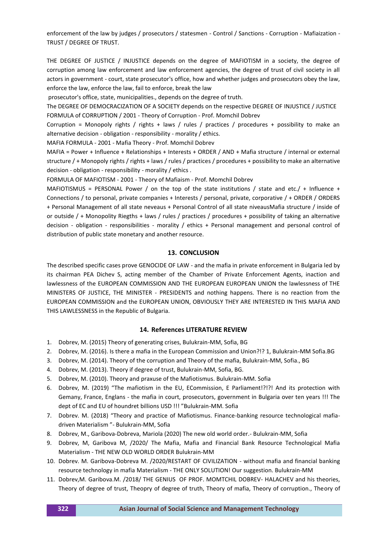enforcement of the law by judges / prosecutors / statesmen - Control / Sanctions - Corruption - Mafiaization - TRUST / DEGREE OF TRUST.

THE DEGREE OF JUSTICE / INJUSTICE depends on the degree of MAFIOTISM in a society, the degree of corruption among law enforcement and law enforcement agencies, the degree of trust of civil society in all actors in government - court, state prosecutor's office, how and whether judges and prosecutors obey the law, enforce the law, enforce the law, fail to enforce, break the law

prosecutor's office, state, municipalities., depends on the degree of truth.

The DEGREE OF DEMOCRACIZATION OF A SOCIETY depends on the respective DEGREE OF INJUSTICE / JUSTICE FORMULA of CORRUPTION / 2001 - Theory of Corruption - Prof. Momchil Dobrev

Corruption = Monopoly rights / rights + laws / rules / practices / procedures + possibility to make an alternative decision - obligation - responsibility - morality / ethics.

MAFIA FORMULA - 2001 - Mafia Theory - Prof. Momchil Dobrev

MAFIA = Power + Influence + Relationships + Interests + ORDER / AND + Mafia structure / internal or external structure / + Monopoly rights / rights + laws / rules / practices / procedures + possibility to make an alternative decision - obligation - responsibility - morality / ethics .

FORMULA OF MAFIOTISM - 2001 - Theory of Mafiaism - Prof. Momchil Dobrev

MAFIOTISMUS = PERSONAL Power / on the top of the state institutions / state and etc./ + Influence + Connections / to personal, private companies + Interests / personal, private, corporative / + ORDER / ORDERS + Personal Management of all state neveaus + Personal Control of all state niveausMafia structure / inside of or outside / + Monopolity Riegths + laws / rules / practices / procedures + possibility of taking an alternative decision - obligation - responsibilities - morality / ethics + Personal management and personal control of distribution of public state monetary and another resource.

### **13. CONCLUSION**

The described specific cases prove GENOCIDE OF LAW - and the mafia in private enforcement in Bulgaria led by its chairman PEA Dichev S, acting member of the Chamber of Private Enforcement Agents, inaction and lawlessness of the EUROPEAN COMMISSION AND THE EUROPEAN EUROPEAN UNION the lawlessness of THE MINISTERS OF JUSTICE, THE MINISTER - PRESIDENTS and nothing happens. There is no reaction from the EUROPEAN COMMISSION and the EUROPEAN UNION, OBVIOUSLY THEY ARE INTERESTED IN THIS MAFIA AND THIS LAWLESSNESS in the Republic of Bulgaria.

### **14. References LITERATURE REVIEW**

- 1. Dobrev, M. (2015) Theory of generating crises, Bulukrain-MM, Sofia, BG
- 2. Dobrev, M. (2016). Is there a mafia in the European Commission and Union?!? 1, Bulukrain-MM Sofia.BG
- 3. Dobrev, M. (2014). Theory of the corruption and Theory of the mafia, Bulukrain-MM, Sofia., BG
- 4. Dobrev, M. (2013). Theory if degree of trust, Bulukrain-MM, Sofia, BG.
- 5. Dobrev, M. (2010). Theory and praxuse of the Mafiotismus. Bulukrain-MM. Sofia
- 6. Dobrev, M. (2019) "The mafiotism in the EU, ECommission, E Parliament!?!?! And its protection with Gemany, France, Englans - the mafia in court, prosecutors, government in Bulgaria over ten years !!! The dept of EC and EU of houndret billions USD !!! "Bulukrain-MM. Sofia
- 7. Dobrev. M. (2018) "Theory and practice of Mafiotismus. Finance-banking resource technological mafiadriven Materialism "- Bulukrain-MM, Sofia
- 8. Dobrev, M., Garibova-Dobreva, Mariola (2020) The new old world order.- Bulukrain-MM, Sofia
- 9. Dobrev, M, Garibova M, /2020/ The Mafia, Mafia and Financial Bank Resource Technological Mafia Materialism - THE NEW OLD WORLD ORDER Bulukrain-MM
- 10. Dobrev. M. Garibova-Dobreva M. /2020/RESTART OF CIVILIZATION without mafia and financial banking resource technology in mafia Materialism - THE ONLY SOLUTION! Our suggestion. Bulukrain-MM
- 11. Dobrev,M. Garibova.M. /2018/ THE GENIUS OF PROF. MOMTCHIL DOBREV- HALACHEV and his theories, Theory of degree of trust, Theopry of degree of truth, Theory of mafia, Theory of corruption., Theory of